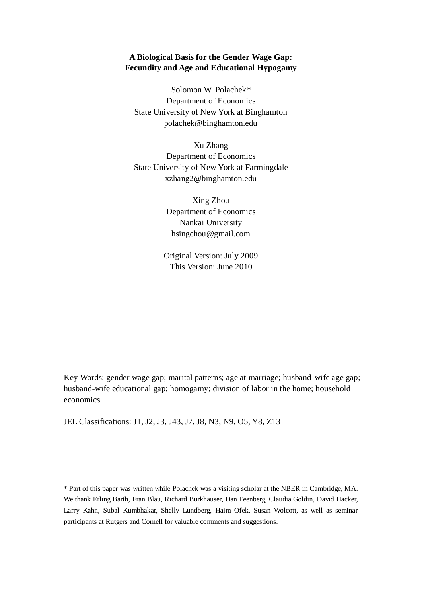# **A Biological Basis for the Gender Wage Gap: Fecundity and Age and Educational Hypogamy**

Solomon W. Polachek\* Department of Economics State University of New York at Binghamton polachek@binghamton.edu

Xu Zhang Department of Economics State University of New York at Farmingdale xzhang2@binghamton.edu

> Xing Zhou Department of Economics Nankai University hsingchou@gmail.com

Original Version: July 2009 This Version: June 2010

Key Words: gender wage gap; marital patterns; age at marriage; husband-wife age gap; husband-wife educational gap; homogamy; division of labor in the home; household economics

JEL Classifications: J1, J2, J3, J43, J7, J8, N3, N9, O5, Y8, Z13

\* Part of this paper was written while Polachek was a visiting scholar at the NBER in Cambridge, MA. We thank Erling Barth, Fran Blau, Richard Burkhauser, Dan Feenberg, Claudia Goldin, David Hacker, Larry Kahn, Subal Kumbhakar, Shelly Lundberg, Haim Ofek, Susan Wolcott, as well as seminar participants at Rutgers and Cornell for valuable comments and suggestions.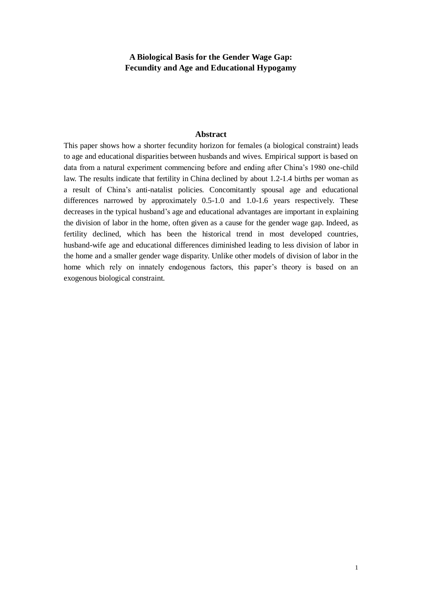# **A Biological Basis for the Gender Wage Gap: Fecundity and Age and Educational Hypogamy**

#### **Abstract**

This paper shows how a shorter fecundity horizon for females (a biological constraint) leads to age and educational disparities between husbands and wives. Empirical support is based on data from a natural experiment commencing before and ending after China's 1980 one-child law. The results indicate that fertility in China declined by about 1.2-1.4 births per woman as a result of China's anti-natalist policies. Concomitantly spousal age and educational differences narrowed by approximately 0.5-1.0 and 1.0-1.6 years respectively. These decreases in the typical husband's age and educational advantages are important in explaining the division of labor in the home, often given as a cause for the gender wage gap. Indeed, as fertility declined, which has been the historical trend in most developed countries, husband-wife age and educational differences diminished leading to less division of labor in the home and a smaller gender wage disparity. Unlike other models of division of labor in the home which rely on innately endogenous factors, this paper's theory is based on an exogenous biological constraint.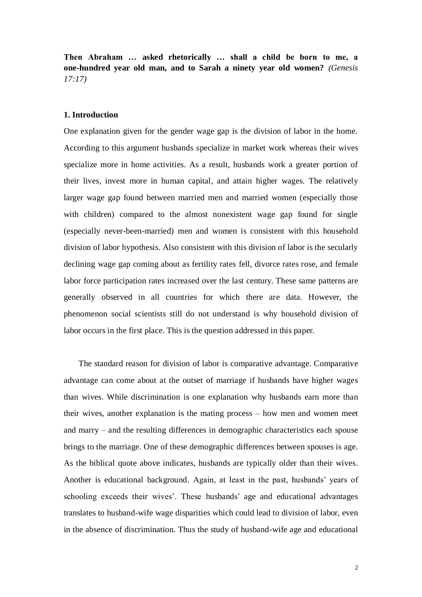**Then Abraham … asked rhetorically … shall a child be born to me, a one-hundred year old man, and to Sarah a ninety year old women?** *(Genesis 17:17)*

## **1. Introduction**

One explanation given for the gender wage gap is the division of labor in the home. According to this argument husbands specialize in market work whereas their wives specialize more in home activities. As a result, husbands work a greater portion of their lives, invest more in human capital, and attain higher wages. The relatively larger wage gap found between married men and married women (especially those with children) compared to the almost nonexistent wage gap found for single (especially never-been-married) men and women is consistent with this household division of labor hypothesis. Also consistent with this division of labor is the secularly declining wage gap coming about as fertility rates fell, divorce rates rose, and female labor force participation rates increased over the last century. These same patterns are generally observed in all countries for which there are data. However, the phenomenon social scientists still do not understand is why household division of labor occurs in the first place. This is the question addressed in this paper.

The standard reason for division of labor is comparative advantage. Comparative advantage can come about at the outset of marriage if husbands have higher wages than wives. While discrimination is one explanation why husbands earn more than their wives, another explanation is the mating process – how men and women meet and marry – and the resulting differences in demographic characteristics each spouse brings to the marriage. One of these demographic differences between spouses is age. As the biblical quote above indicates, husbands are typically older than their wives. Another is educational background. Again, at least in the past, husbands' years of schooling exceeds their wives'. These husbands' age and educational advantages translates to husband-wife wage disparities which could lead to division of labor, even in the absence of discrimination. Thus the study of husband-wife age and educational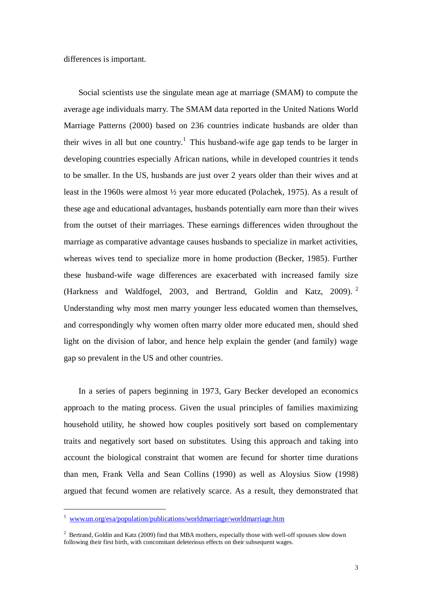differences is important.

Social scientists use the singulate mean age at marriage (SMAM) to compute the average age individuals marry. The SMAM data reported in the United Nations World Marriage Patterns (2000) based on 236 countries indicate husbands are older than their wives in all but one country.<sup>1</sup> This husband-wife age gap tends to be larger in developing countries especially African nations, while in developed countries it tends to be smaller. In the US, husbands are just over 2 years older than their wives and at least in the 1960s were almost ½ year more educated (Polachek, 1975). As a result of these age and educational advantages, husbands potentially earn more than their wives from the outset of their marriages. These earnings differences widen throughout the marriage as comparative advantage causes husbands to specialize in market activities, whereas wives tend to specialize more in home production (Becker, 1985). Further these husband-wife wage differences are exacerbated with increased family size (Harkness and Waldfogel, 2003, and Bertrand, Goldin and Katz, 2009). <sup>2</sup> Understanding why most men marry younger less educated women than themselves, and correspondingly why women often marry older more educated men, should shed light on the division of labor, and hence help explain the gender (and family) wage gap so prevalent in the US and other countries.

In a series of papers beginning in 1973, Gary Becker developed an economics approach to the mating process. Given the usual principles of families maximizing household utility, he showed how couples positively sort based on complementary traits and negatively sort based on substitutes. Using this approach and taking into account the biological constraint that women are fecund for shorter time durations than men, Frank Vella and Sean Collins (1990) as well as Aloysius Siow (1998) argued that fecund women are relatively scarce. As a result, they demonstrated that

<sup>1</sup> [www.un.org/esa/population/publications/worldmarriage/worldmarriage.htm](http://www.un.org/esa/population/publications/worldmarriage/worldmarriage.htm)

<sup>&</sup>lt;sup>2</sup> Bertrand, Goldin and Katz (2009) find that MBA mothers, especially those with well-off spouses slow down following their first birth, with concomitant deleterious effects on their subsequent wages.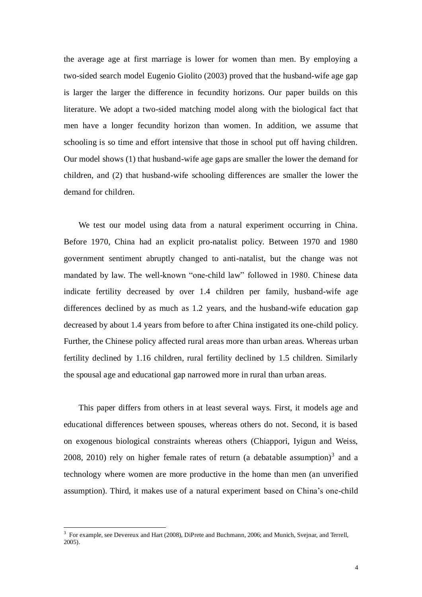the average age at first marriage is lower for women than men. By employing a two-sided search model Eugenio Giolito (2003) proved that the husband-wife age gap is larger the larger the difference in fecundity horizons. Our paper builds on this literature. We adopt a two-sided matching model along with the biological fact that men have a longer fecundity horizon than women. In addition, we assume that schooling is so time and effort intensive that those in school put off having children. Our model shows (1) that husband-wife age gaps are smaller the lower the demand for children, and (2) that husband-wife schooling differences are smaller the lower the demand for children.

We test our model using data from a natural experiment occurring in China. Before 1970, China had an explicit pro-natalist policy. Between 1970 and 1980 government sentiment abruptly changed to anti-natalist, but the change was not mandated by law. The well-known "one-child law" followed in 1980. Chinese data indicate fertility decreased by over 1.4 children per family, husband-wife age differences declined by as much as 1.2 years, and the husband-wife education gap decreased by about 1.4 years from before to after China instigated its one-child policy. Further, the Chinese policy affected rural areas more than urban areas. Whereas urban fertility declined by 1.16 children, rural fertility declined by 1.5 children. Similarly the spousal age and educational gap narrowed more in rural than urban areas.

This paper differs from others in at least several ways. First, it models age and educational differences between spouses, whereas others do not. Second, it is based on exogenous biological constraints whereas others (Chiappori, Iyigun and Weiss, 2008, 2010) rely on higher female rates of return (a debatable assumption) $3$  and a technology where women are more productive in the home than men (an unverified assumption). Third, it makes use of a natural experiment based on China's one-child

<sup>&</sup>lt;sup>3</sup> For example, see Devereux and Hart (2008), DiPrete and Buchmann, 2006; and Munich, Svejnar, and Terrell, 2005).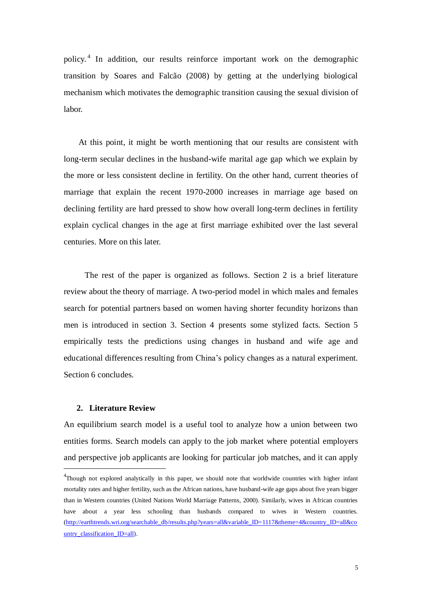policy. 4 In addition, our results reinforce important work on the demographic transition by Soares and Falcão (2008) by getting at the underlying biological mechanism which motivates the demographic transition causing the sexual division of labor.

At this point, it might be worth mentioning that our results are consistent with long-term secular declines in the husband-wife marital age gap which we explain by the more or less consistent decline in fertility. On the other hand, current theories of marriage that explain the recent 1970-2000 increases in marriage age based on declining fertility are hard pressed to show how overall long-term declines in fertility explain cyclical changes in the age at first marriage exhibited over the last several centuries. More on this later.

 The rest of the paper is organized as follows. Section 2 is a brief literature review about the theory of marriage. A two-period model in which males and females search for potential partners based on women having shorter fecundity horizons than men is introduced in section 3. Section 4 presents some stylized facts. Section 5 empirically tests the predictions using changes in husband and wife age and educational differences resulting from China's policy changes as a natural experiment. Section 6 concludes.

### **2. Literature Review**

-

An equilibrium search model is a useful tool to analyze how a union between two entities forms. Search models can apply to the job market where potential employers and perspective job applicants are looking for particular job matches, and it can apply

<sup>&</sup>lt;sup>4</sup>Though not explored analytically in this paper, we should note that worldwide countries with higher infant mortality rates and higher fertility, such as the African nations, have husband-wife age gaps about five years bigger than in Western countries (United Nations World Marriage Patterns, 2000). Similarly, wives in African countries have about a year less schooling than husbands compared to wives in Western countries. [\(http://earthtrends.wri.org/searchable\\_db/results.php?years=all&variable\\_ID=1117&theme=4&country\\_ID=all&co](http://earthtrends.wri.org/searchable_db/results.php?years=all&variable_ID=1117&theme=4&country_ID=all&country_classification_ID=all) [untry\\_classification\\_ID=all\)](http://earthtrends.wri.org/searchable_db/results.php?years=all&variable_ID=1117&theme=4&country_ID=all&country_classification_ID=all).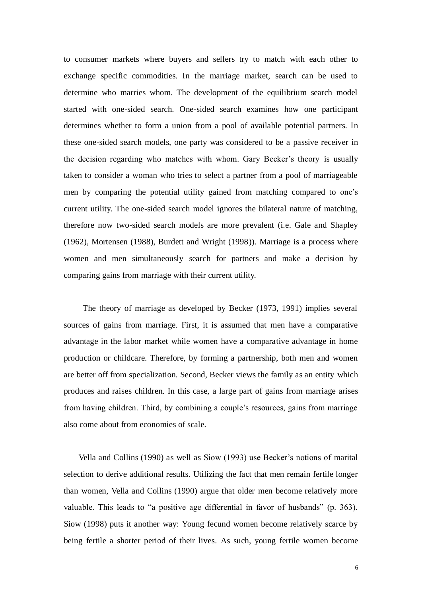to consumer markets where buyers and sellers try to match with each other to exchange specific commodities. In the marriage market, search can be used to determine who marries whom. The development of the equilibrium search model started with one-sided search. One-sided search examines how one participant determines whether to form a union from a pool of available potential partners. In these one-sided search models, one party was considered to be a passive receiver in the decision regarding who matches with whom. Gary Becker's theory is usually taken to consider a woman who tries to select a partner from a pool of marriageable men by comparing the potential utility gained from matching compared to one's current utility. The one-sided search model ignores the bilateral nature of matching, therefore now two-sided search models are more prevalent (i.e. Gale and Shapley (1962), Mortensen (1988), Burdett and Wright (1998)). Marriage is a process where women and men simultaneously search for partners and make a decision by comparing gains from marriage with their current utility.

The theory of marriage as developed by Becker (1973, 1991) implies several sources of gains from marriage. First, it is assumed that men have a comparative advantage in the labor market while women have a comparative advantage in home production or childcare. Therefore, by forming a partnership, both men and women are better off from specialization. Second, Becker views the family as an entity which produces and raises children. In this case, a large part of gains from marriage arises from having children. Third, by combining a couple's resources, gains from marriage also come about from economies of scale.

Vella and Collins (1990) as well as Siow (1993) use Becker's notions of marital selection to derive additional results. Utilizing the fact that men remain fertile longer than women, Vella and Collins (1990) argue that older men become relatively more valuable. This leads to "a positive age differential in favor of husbands" (p. 363). Siow (1998) puts it another way: Young fecund women become relatively scarce by being fertile a shorter period of their lives. As such, young fertile women become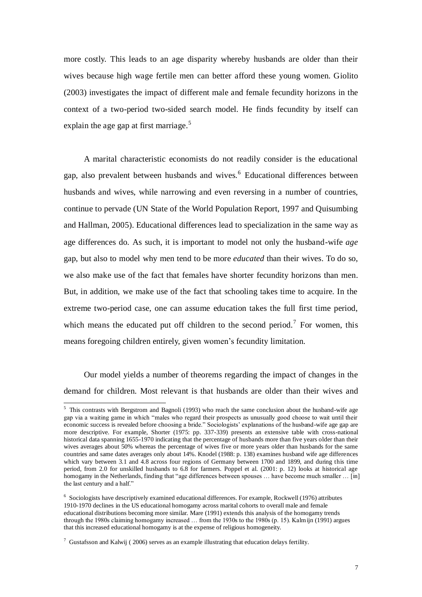more costly. This leads to an age disparity whereby husbands are older than their wives because high wage fertile men can better afford these young women. Giolito (2003) investigates the impact of different male and female fecundity horizons in the context of a two-period two-sided search model. He finds fecundity by itself can explain the age gap at first marriage.<sup>5</sup>

A marital characteristic economists do not readily consider is the educational gap, also prevalent between husbands and wives.<sup>6</sup> Educational differences between husbands and wives, while narrowing and even reversing in a number of countries, continue to pervade (UN State of the World Population Report, 1997 and Quisumbing and Hallman, 2005). Educational differences lead to specialization in the same way as age differences do. As such, it is important to model not only the husband-wife *age* gap, but also to model why men tend to be more *educated* than their wives. To do so, we also make use of the fact that females have shorter fecundity horizons than men. But, in addition, we make use of the fact that schooling takes time to acquire. In the extreme two-period case, one can assume education takes the full first time period, which means the educated put off children to the second period.<sup>7</sup> For women, this means foregoing children entirely, given women's fecundity limitation.

Our model yields a number of theorems regarding the impact of changes in the demand for children. Most relevant is that husbands are older than their wives and

 $5$  This contrasts with Bergstrom and Bagnoli (1993) who reach the same conclusion about the husband-wife age gap via a waiting game in which "males who regard their prospects as unusually good choose to wait until their economic success is revealed before choosing a bride." Sociologists' explanations of the husband-wife age gap are more descriptive. For example, Shorter (1975: pp. 337-339) presents an extensive table with cross-national historical data spanning 1655-1970 indicating that the percentage of husbands more than five years older than their wives averages about 50% whereas the percentage of wives five or more years older than husbands for the same countries and same dates averages only about 14%. Knodel (1988: p. 138) examines husband wife age differences which vary between 3.1 and 4.8 across four regions of Germany between 1700 and 1899, and during this time period, from 2.0 for unskilled husbands to 6.8 for farmers. Poppel et al. (2001: p. 12) looks at historical age homogamy in the Netherlands, finding that "age differences between spouses … have become much smaller … [in] the last century and a half."

<sup>&</sup>lt;sup>6</sup> Sociologists have descriptively examined educational differences. For example, Rockwell (1976) attributes 1910-1970 declines in the US educational homogamy across marital cohorts to overall male and female educational distributions becoming more similar. Mare (1991) extends this analysis of the homogamy trends through the 1980s claiming homogamy increased … from the 1930s to the 1980s (p. 15). Kalmijn (1991) argues that this increased educational homogamy is at the expense of religious homogeneity.

 $7$  Gustafsson and Kalwij (2006) serves as an example illustrating that education delays fertility.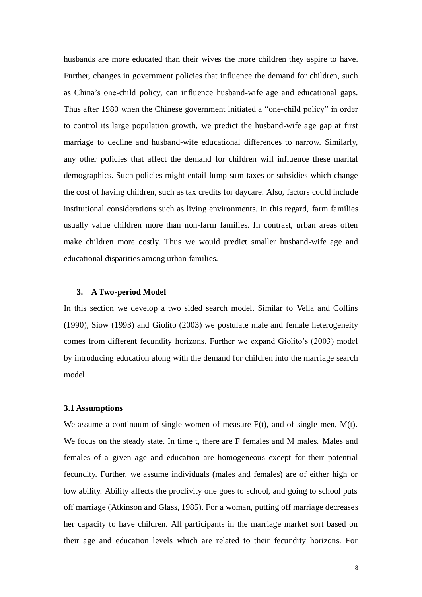husbands are more educated than their wives the more children they aspire to have. Further, changes in government policies that influence the demand for children, such as China's one-child policy, can influence husband-wife age and educational gaps. Thus after 1980 when the Chinese government initiated a "one-child policy" in order to control its large population growth, we predict the husband-wife age gap at first marriage to decline and husband-wife educational differences to narrow. Similarly, any other policies that affect the demand for children will influence these marital demographics. Such policies might entail lump-sum taxes or subsidies which change the cost of having children, such as tax credits for daycare. Also, factors could include institutional considerations such as living environments. In this regard, farm families usually value children more than non-farm families. In contrast, urban areas often make children more costly. Thus we would predict smaller husband-wife age and educational disparities among urban families.

#### **3. A Two-period Model**

In this section we develop a two sided search model. Similar to Vella and Collins (1990), Siow (1993) and Giolito (2003) we postulate male and female heterogeneity comes from different fecundity horizons. Further we expand Giolito's (2003) model by introducing education along with the demand for children into the marriage search model.

#### **3.1 Assumptions**

We assume a continuum of single women of measure  $F(t)$ , and of single men,  $M(t)$ . We focus on the steady state. In time t, there are F females and M males. Males and females of a given age and education are homogeneous except for their potential fecundity. Further, we assume individuals (males and females) are of either high or low ability. Ability affects the proclivity one goes to school, and going to school puts off marriage (Atkinson and Glass, 1985). For a woman, putting off marriage decreases her capacity to have children. All participants in the marriage market sort based on their age and education levels which are related to their fecundity horizons. For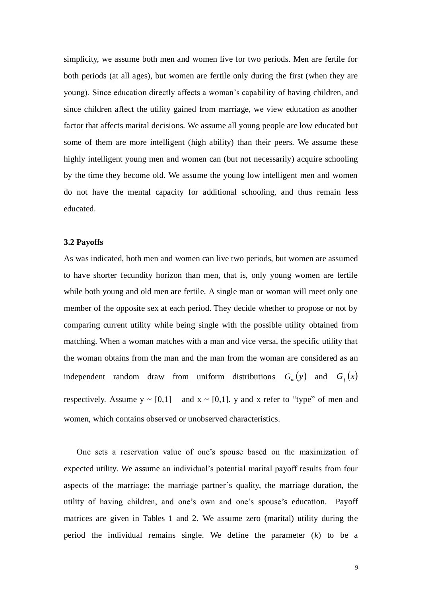simplicity, we assume both men and women live for two periods. Men are fertile for both periods (at all ages), but women are fertile only during the first (when they are young). Since education directly affects a woman's capability of having children, and since children affect the utility gained from marriage, we view education as another factor that affects marital decisions. We assume all young people are low educated but some of them are more intelligent (high ability) than their peers. We assume these highly intelligent young men and women can (but not necessarily) acquire schooling by the time they become old. We assume the young low intelligent men and women do not have the mental capacity for additional schooling, and thus remain less educated.

#### **3.2 Payoffs**

As was indicated, both men and women can live two periods, but women are assumed to have shorter fecundity horizon than men, that is, only young women are fertile while both young and old men are fertile. A single man or woman will meet only one member of the opposite sex at each period. They decide whether to propose or not by comparing current utility while being single with the possible utility obtained from matching. When a woman matches with a man and vice versa, the specific utility that the woman obtains from the man and the man from the woman are considered as an independent random draw from uniform distributions  $G_m(y)$  and  $G_f(x)$ respectively. Assume  $y \sim [0,1]$  and  $x \sim [0,1]$ . y and x refer to "type" of men and women, which contains observed or unobserved characteristics.

One sets a reservation value of one's spouse based on the maximization of expected utility. We assume an individual's potential marital payoff results from four aspects of the marriage: the marriage partner's quality, the marriage duration, the utility of having children, and one's own and one's spouse's education. Payoff matrices are given in Tables 1 and 2. We assume zero (marital) utility during the period the individual remains single. We define the parameter (*k*) to be a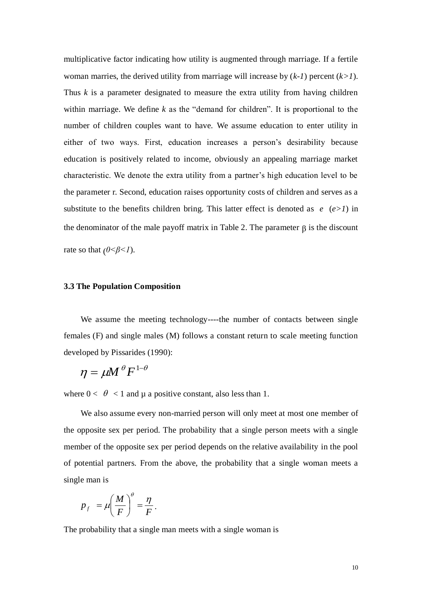multiplicative factor indicating how utility is augmented through marriage. If a fertile woman marries, the derived utility from marriage will increase by (*k-1*) percent (*k>1*). Thus  $k$  is a parameter designated to measure the extra utility from having children within marriage. We define *k* as the "demand for children". It is proportional to the number of children couples want to have. We assume education to enter utility in either of two ways. First, education increases a person's desirability because education is positively related to income, obviously an appealing marriage market characteristic. We denote the extra utility from a partner's high education level to be the parameter r. Second, education raises opportunity costs of children and serves as a substitute to the benefits children bring. This latter effect is denoted as  $e(e>1)$  in the denominator of the male payoff matrix in Table 2. The parameter  $\beta$  is the discount rate so that  $(0 < \beta < 1)$ .

#### **3.3 The Population Composition**

 We assume the meeting technology----the number of contacts between single females (F) and single males (M) follows a constant return to scale meeting function developed by Pissarides (1990):

$$
\eta = \mu M^{\theta} F^{1-\theta}
$$

where  $0 < \theta < 1$  and  $\mu$  a positive constant, also less than 1.

 We also assume every non-married person will only meet at most one member of the opposite sex per period. The probability that a single person meets with a single member of the opposite sex per period depends on the relative availability in the pool of potential partners. From the above, the probability that a single woman meets a single man is

$$
p_f = \mu \left(\frac{M}{F}\right)^{\theta} = \frac{\eta}{F}.
$$

The probability that a single man meets with a single woman is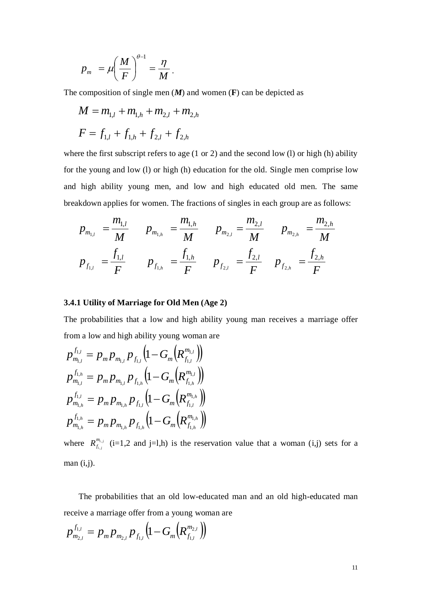$$
p_m = \mu \left(\frac{M}{F}\right)^{\theta-1} = \frac{\eta}{M}.
$$

The composition of single men (*M*) and women (**F**) can be depicted as

$$
M = m_{1,l} + m_{1,h} + m_{2,l} + m_{2,h}
$$
  

$$
F = f_{1,l} + f_{1,h} + f_{2,l} + f_{2,h}
$$

where the first subscript refers to age (1 or 2) and the second low (l) or high (h) ability for the young and low (l) or high (h) education for the old. Single men comprise low and high ability young men, and low and high educated old men. The same breakdown applies for women. The fractions of singles in each group are as follows:

$$
p_{m_{1,l}} = \frac{m_{1,l}}{M} \qquad p_{m_{1,h}} = \frac{m_{1,h}}{M} \qquad p_{m_{2,l}} = \frac{m_{2,l}}{M} \qquad p_{m_{2,h}} = \frac{m_{2,h}}{M}
$$

$$
p_{f_{1,l}} = \frac{f_{1,l}}{F} \qquad p_{f_{1,h}} = \frac{f_{1,h}}{F} \qquad p_{f_{2,l}} = \frac{f_{2,l}}{F} \qquad p_{f_{2,h}} = \frac{f_{2,h}}{F}
$$

### **3.4.1 Utility of Marriage for Old Men (Age 2)**

The probabilities that a low and high ability young man receives a marriage offer from a low and high ability young woman are

$$
p_{m_{1,l}}^{f_{1,l}} = p_m p_{m_{1,l}} p_{f_{1,l}} \left(1 - G_m \left(R_{f_{1,l}}^{m_{1,l}}\right)\right)
$$
  
\n
$$
p_{m_{1,l}}^{f_{1,h}} = p_m p_{m_{1,l}} p_{f_{1,h}} \left(1 - G_m \left(R_{f_{1,h}}^{m_{1,l}}\right)\right)
$$
  
\n
$$
p_{m_{1,h}}^{f_{1,l}} = p_m p_{m_{1,h}} p_{f_{1,l}} \left(1 - G_m \left(R_{f_{1,l}}^{m_{1,h}}\right)\right)
$$
  
\n
$$
p_{m_{1,h}}^{f_{1,h}} = p_m p_{m_{1,h}} p_{f_{1,h}} \left(1 - G_m \left(R_{f_{1,h}}^{m_{1,h}}\right)\right)
$$

where  $R_{f_i}^{m_{i,j}}$ *i j*  $R^{m_i}_{f_i}$  $\sum_{i,j}$  (i=1,2 and j=1,h) is the reservation value that a woman (i,j) sets for a man (i,j).

The probabilities that an old low-educated man and an old high-educated man receive a marriage offer from a young woman are

$$
p_{m_{2,l}}^{f_{1,l}} = p_m p_{m_{2,l}} p_{f_{1,l}} \left( 1 - G_m \left( R_{f_{1,l}}^{m_{2,l}} \right) \right)
$$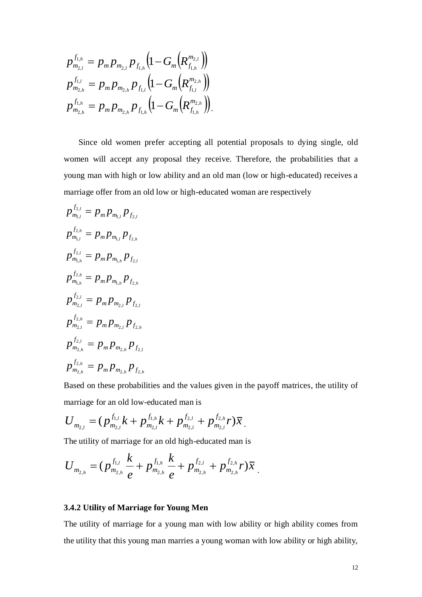$$
p_{m_{2,l}}^{f_{1,h}} = p_m p_{m_{2,l}} p_{f_{1,h}} \left( 1 - G_m \left( R_{f_{1,h}}^{m_{2,l}} \right) \right)
$$
  

$$
p_{m_{2,h}}^{f_{1,l}} = p_m p_{m_{2,h}} p_{f_{1,l}} \left( 1 - G_m \left( R_{f_{1,l}}^{m_{2,h}} \right) \right)
$$
  

$$
p_{m_{2,h}}^{f_{1,h}} = p_m p_{m_{2,h}} p_{f_{1,h}} \left( 1 - G_m \left( R_{f_{1,h}}^{m_{2,h}} \right) \right).
$$

 $(1-G_m\left(R_{f_{1,k}}^{m_{f_{1,k}}}\right))$ <br>  $\left(1-G_m\left(R_{f_{1,k}}^{m_{f_{1,k}}}\right)\right)$ <br>  $\left(1-G_m\left(R_{f_{1,k}}^{m_{f_{1,k}}}\right)\right)$ <br>
orefer accepting all potential proposals to dying single, old<br>
y proposal they receive. Therefore, the probabilities that a<br>
low Since old women prefer accepting all potential proposals to dying single, old women will accept any proposal they receive. Therefore, the probabilities that a young man with high or low ability and an old man (low or high-educated) receives a marriage offer from an old low or high-educated woman are respectively

$$
p_{m_{1,l}}^{f_{2,l}} = p_m p_{m_{1,l}} p_{f_{2,l}}
$$
  
\n
$$
p_{m_{1,l}}^{f_{2,h}} = p_m p_{m_{1,l}} p_{f_{2,h}}
$$
  
\n
$$
p_{m_{1,h}}^{f_{2,l}} = p_m p_{m_{1,h}} p_{f_{2,l}}
$$
  
\n
$$
p_{m_{1,h}}^{f_{2,h}} = p_m p_{m_{1,h}} p_{f_{2,h}}
$$
  
\n
$$
p_{m_{2,l}}^{f_{2,h}} = p_m p_{m_{2,l}} p_{f_{2,h}}
$$
  
\n
$$
p_{m_{2,h}}^{f_{2,h}} = p_m p_{m_{2,h}} p_{f_{2,h}}
$$
  
\n
$$
p_{m_{2,h}}^{f_{2,h}} = p_m p_{m_{2,h}} p_{f_{2,h}}
$$

Based on these probabilities and the values given in the payoff matrices, the utility of marriage for an old low-educated man is

$$
U_{m_{2,l}}=(p_{m_{2,l}}^{f_{1,l}}k+p_{m_{2,l}}^{f_{1,h}}k+p_{m_{2,l}}^{f_{2,l}}+p_{m_{2,l}}^{f_{2,h}}r)\bar{x}.
$$

The utility of marriage for an old high-educated man is

$$
U_{m_{2,h}} = (p_{m_{2,h}}^{f_{1,l}} \frac{k}{e} + p_{m_{2,h}}^{f_{1,h}} \frac{k}{e} + p_{m_{2,h}}^{f_{2,l}} + p_{m_{2,h}}^{f_{2,h}} r)\overline{x}.
$$

# **3.4.2 Utility of Marriage for Young Men**

The utility of marriage for a young man with low ability or high ability comes from the utility that this young man marries a young woman with low ability or high ability,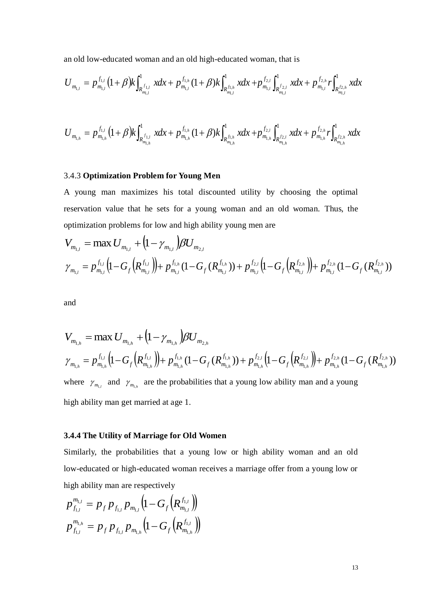an old low-educated woman and an old high-educated woman, that is

$$
U_{m_{1,l}} = p_{m_{1,l}}^{f_{1,l}} (1+\beta) k \int_{R_{m_{1,l}}^{f_{1,l}}} x dx + p_{m_{1,l}}^{f_{1,h}} (1+\beta) k \int_{R_{m_{1,l}}^{f_{1,h}}} x dx + p_{m_{1,l}}^{f_{2,l}} \int_{R_{m_{1,l}}^{f_{2,l}}} x dx + p_{m_{1,l}}^{f_{2,h}} r \int_{R_{m_{1,l}}^{f_{2,h}}} x dx
$$

$$
U_{m_{l,h}} = p_{m_{l,h}}^{f_{1,l}} (1+\beta) k \int_{R_{m_{l,h}}^{f_{1,l}}}^{1} x dx + p_{m_{l,h}}^{f_{1,h}} (1+\beta) k \int_{R_{m_{l,h}}^{f_{1,h}}}^{1} x dx + p_{m_{l,h}}^{f_{2,l}} \int_{R_{m_{l,h}}^{f_{2,l}}}^{1} x dx + p_{m_{l,h}}^{f_{2,h}} \int_{R_{m_{l,h}}^{f_{2,h}}}^{1} x dx
$$

## 3.4.3 **Optimization Problem for Young Men**

A young man maximizes his total discounted utility by choosing the optimal reservation value that he sets for a young woman and an old woman. Thus, the optimization problems for low and high ability young men are

$$
V_{m_{1,l}} = \max U_{m_{1,l}} + (1 - \gamma_{m_{1,l}}) \beta U_{m_{2,l}}
$$
  

$$
\gamma_{m_{1,l}} = p_{m_{1,l}}^{f_{1,l}} (1 - G_f (R_{m_{1,l}}^{f_{1,l}})) + p_{m_{1,l}}^{f_{1,h}} (1 - G_f (R_{m_{1,l}}^{f_{1,h}})) + p_{m_{1,l}}^{f_{2,l}} (1 - G_f (R_{m_{1,l}}^{f_{2,h}})) + p_{m_{1,l}}^{f_{2,h}} (1 - G_f (R_{m_{1,l}}^{f_{2,h}}))
$$

and

$$
V_{m_{1,h}} = \max U_{m_{1,h}} + (1 - \gamma_{m_{1,h}}) \beta U_{m_{2,h}}
$$
  

$$
\gamma_{m_{1,h}} = p_{m_{1,h}}^{f_{1,l}} (1 - G_f (R_{m_{1,h}}^{f_{1,l}})) + p_{m_{1,h}}^{f_{1,h}} (1 - G_f (R_{m_{1,h}}^{f_{1,h}})) + p_{m_{1,h}}^{f_{2,l}} (1 - G_f (R_{m_{1,h}}^{f_{2,h}})) + p_{m_{1,h}}^{f_{2,h}} (1 - G_f (R_{m_{1,h}}^{f_{2,h}}))
$$

where  $\gamma_{m_{1,i}}$  and  $\gamma_{m_{1,h}}$  are the probabilities that a young low ability man and a young high ability man get married at age 1.

## **3.4.4 The Utility of Marriage for Old Women**

Similarly, the probabilities that a young low or high ability woman and an old low-educated or high-educated woman receives a marriage offer from a young low or high ability man are respectively

$$
p_{f_{1,l}}^{m_{1,l}} = p_f p_{f_{1,l}} p_{m_{1,l}} \left(1 - G_f \left(R_{m_{1,l}}^{f_{1,l}}\right)\right)
$$
  

$$
p_{f_{1,l}}^{m_{1,h}} = p_f p_{f_{1,l}} p_{m_{1,h}} \left(1 - G_f \left(R_{m_{1,h}}^{f_{1,l}}\right)\right)
$$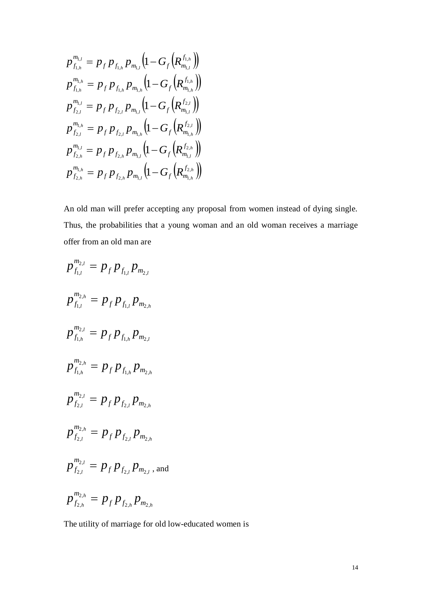$$
p_{f_{1,h}}^{m_{1,l}} = p_f p_{f_{1,h}} p_{m_{1,l}} \left( 1 - G_f \left( R_{m_{1,l}}^{f_{1,h}} \right) \right)
$$
  
\n
$$
p_{f_{1,h}}^{m_{1,h}} = p_f p_{f_{1,h}} p_{m_{1,h}} \left( 1 - G_f \left( R_{m_{1,h}}^{f_{1,h}} \right) \right)
$$
  
\n
$$
p_{f_{2,l}}^{m_{1,l}} = p_f p_{f_{2,l}} p_{m_{1,l}} \left( 1 - G_f \left( R_{m_{1,l}}^{f_{2,l}} \right) \right)
$$
  
\n
$$
p_{f_{2,l}}^{m_{1,h}} = p_f p_{f_{2,l}} p_{m_{1,h}} \left( 1 - G_f \left( R_{m_{1,h}}^{f_{2,l}} \right) \right)
$$
  
\n
$$
p_{f_{2,h}}^{m_{1,l}} = p_f p_{f_{2,h}} p_{m_{1,l}} \left( 1 - G_f \left( R_{m_{1,l}}^{f_{2,h}} \right) \right)
$$
  
\n
$$
p_{f_{2,h}}^{m_{1,h}} = p_f p_{f_{2,h}} p_{m_{1,l}} \left( 1 - G_f \left( R_{m_{1,h}}^{f_{2,h}} \right) \right)
$$

 $(1-G_f (R_{m_A}^{f_{\Delta_a}}))$ <br>  $(1-G_f (R_{m_A}^{f_{\Delta_a}}))$ <br>  $(1-G_f (R_{m_A}^{f_{\Delta_a}}))$ <br>  $(1-G_f (R_{m_A}^{f_{\Delta_a}}))$ <br>  $(1-G_f (R_{m_A}^{f_{\Delta_a}}))$ <br>  $(1-G_f (R_{m_A}^{f_{\Delta_a}}))$ <br>  $(1-G_f (R_{m_A}^{f_{\Delta_a}}))$ <br>  $(1-G_f (R_{m_A}^{f_{\Delta_a}}))$ <br>  $(1-G_f (R_{m_A}^{f_{\Delta_a}}))$ <br>  $(1-G_f (R_{m_A}^{f_{\Delta_a}}))$ <br> An old man will prefer accepting any proposal from women instead of dying single. Thus, the probabilities that a young woman and an old woman receives a marriage offer from an old man are

$$
p_{f_{1,l}}^{m_{2,l}} = p_f p_{f_{1,l}} p_{m_{2,l}}
$$
  
\n
$$
p_{f_{1,l}}^{m_{2,h}} = p_f p_{f_{1,l}} p_{m_{2,h}}
$$
  
\n
$$
p_{f_{1,h}}^{m_{2,l}} = p_f p_{f_{1,h}} p_{m_{2,l}}
$$
  
\n
$$
p_{f_{1,h}}^{m_{2,h}} = p_f p_{f_{1,h}} p_{m_{2,h}}
$$
  
\n
$$
p_{f_{2,l}}^{m_{2,l}} = p_f p_{f_{2,l}} p_{m_{2,h}}
$$
  
\n
$$
p_{f_{2,l}}^{m_{2,h}} = p_f p_{f_{2,l}} p_{m_{2,h}}
$$
  
\n
$$
p_{f_{2,l}}^{m_{2,h}} = p_f p_{f_{2,l}} p_{m_{2,l}}
$$
, and  
\n
$$
p_{f_{2,h}}^{m_{2,h}} = p_f p_{f_{2,h}} p_{m_{2,h}}
$$

The utility of marriage for old low-educated women is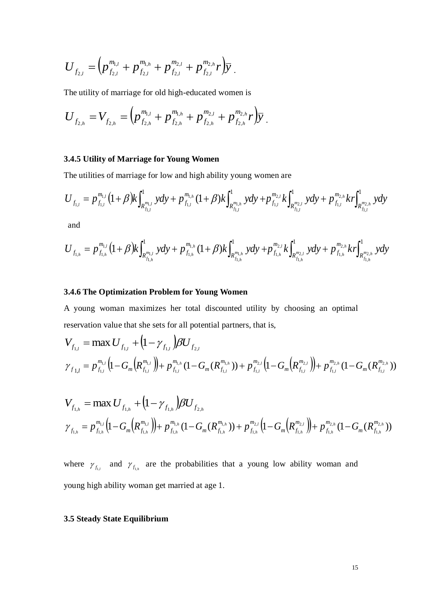$$
U_{f_{2,l}} = \left( p_{f_{2,l}}^{m_{1,l}} + p_{f_{2,l}}^{m_{1,h}} + p_{f_{2,l}}^{m_{2,l}} + p_{f_{2,l}}^{m_{2,h}} r \right) \overline{y} .
$$

The utility of marriage for old high-educated women is

$$
U_{f_{2,h}} = V_{f_{2,h}} = \left( p_{f_{2,h}}^{m_{1,l}} + p_{f_{2,h}}^{m_{1,h}} + p_{f_{2,h}}^{m_{2,l}} + p_{f_{2,h}}^{m_{2,h}} r \right) \overline{y}.
$$

## **3.4.5 Utility of Marriage for Young Women**

The utilities of marriage for low and high ability young women are

3.4.5 Utility of marriage for Young Women  
The utilities of marriage for low and high ability young women are  

$$
U_{f_{1,l}} = p_{f_{1,l}}^{m_{1,l}} (1+\beta) k \int_{R_{f_{1,l}}^{m_{1,l}}}^{1} y dy + p_{f_{1,l}}^{m_{1,h}} (1+\beta) k \int_{R_{f_{1,l}}^{m_{1,h}}}^{1} y dy + p_{f_{1,l}}^{m_{2,l}} k \int_{R_{f_{1,l}}^{m_{2,l}}}^{1} y dy + p_{f_{1,l}}^{m_{2,h}} k r \int_{R_{f_{1,l}}^{m_{2,h}}}^{1} y dy
$$

and

and  
\n
$$
U_{f_{1,l}} = p_{f_{1,h}}^{m_{1,l}} (1+\beta) k \int_{R_{f_{1,h}}^{m_{1,l}}}^{1} y dy + p_{f_{1,h}}^{m_{1,h}} (1+\beta) k \int_{R_{f_{1,h}}^{m_{1,h}}}^{1} y dy + p_{f_{1,h}}^{m_{2,l}} k \int_{R_{f_{1,h}}^{m_{2,l}}}^{1} y dy + p_{f_{1,h}}^{m_{2,h}} k r \int_{R_{f_{1,h}}^{m_{2,h}}}^{1} y dy
$$

## **3.4.6 The Optimization Problem for Young Women**

A young woman maximizes her total discounted utility by choosing an optimal reservation value that she sets for all potential partners, that is,

$$
U_{f_{2,l}} = (p_{f_{2,l}}^{m_{1,l}} + p_{f_{2,l}}^{m_{2,l}} + p_{f_{2,l}}^{m_{2,l}} + p_{f_{2,l}}^{m_{2,l}} + p_{f_{2,l}}^{m_{2,l}} + p_{f_{2,l}}^{m_{2,l}} + p_{f_{2,l}}^{m_{2,l}} + p_{f_{2,l}}^{m_{2,l}} + p_{f_{2,l}}^{m_{2,l}} + p_{f_{2,l}}^{m_{2,l}} + p_{f_{2,l}}^{m_{2,l}} + p_{f_{2,l}}^{m_{2,l}} + p_{f_{2,l}}^{m_{2,l}} + p_{f_{2,l}}^{m_{2,l}} + p_{f_{2,l}}^{m_{2,l}} + p_{f_{2,l}}^{m_{2,l}} + p_{f_{2,l}}^{m_{2,l}} + p_{f_{2,l}}^{m_{2,l}} + p_{f_{2,l}}^{m_{2,l}} + p_{f_{2,l}}^{m_{2,l}} + p_{f_{2,l}}^{m_{2,l}} + p_{f_{2,l}}^{m_{2,l}} + p_{f_{2,l}}^{m_{2,l}} + p_{f_{2,l}}^{m_{2,l}} + p_{f_{2,l}}^{m_{2,l}} + p_{f_{2,l}}^{m_{2,l}} + p_{f_{2,l}}^{m_{2,l}} + p_{f_{2,l}}^{m_{2,l}} + p_{f_{2,l}}^{m_{2,l}} + p_{f_{2,l}}^{m_{2,l}} + p_{f_{2,l}}^{m_{2,l}} + p_{f_{2,l}}^{m_{2,l}} + p_{f_{2,l}}^{m_{2,l}} + p_{f_{2,l}}^{m_{2,l}} + p_{f_{2,l}}^{m_{2,l}} + p_{f_{2,l}}^{m_{2,l}} + p_{f_{2,l}}^{m_{2,l}} + p_{f_{2,l}}^{m_{2,l}} + p_{f_{2,l}}^{m_{2,l}} + p_{f_{2,l}}^{m_{2,l}} + p_{f_{2,l}}^{m_{2,l}} + p_{f_{2,l}}^{m_{2,l}} + p_{f_{2,l}}^{m_{2,l}} + p_{f_{2,l}}^{m_{2,l}} + p_{f_{2,l}}^{m_{2,l}} + p_{f_{2,l}}^{m_{2,l}} + p_{f_{2,l}}^{m_{2,l}} + p_{f_{2,l}}^{m_{2,l}} + p_{f_{2,l}}^{m_{2,l}} + p_{f_{2,l}}^{m_{2,l}} + p_{f_{2,l}}^{m_{2,l}} + p_{f_{2,l}}^{m_{2,l}} + p_{f_{2,l}}^{m_{2,l}} + p_{f_{2,l}}^{
$$

$$
V_{f_{1,h}} = \max U_{f_{1,h}} + (1 - \gamma_{f_{1,h}})BU_{f_{2,h}}
$$
  

$$
\gamma_{f_{1,h}} = p_{f_{1,h}}^{m_{1,l}} (1 - G_m(R_{f_{1,h}}^{m_{1,h}})) + p_{f_{1,h}}^{m_{1,h}} (1 - G_m(R_{f_{1,h}}^{m_{1,h}})) + p_{f_{1,h}}^{m_{2,l}} (1 - G_m(R_{f_{1,h}}^{m_{2,h}})) + p_{f_{1,h}}^{m_{2,h}} (1 - G_m(R_{f_{1,h}}^{m_{2,h}}))
$$

where  $\gamma_{f_{1,t}}$  and  $\gamma_{f_{1,h}}$  are the probabilities that a young low ability woman and young high ability woman get married at age 1.

# **3.5 Steady State Equilibrium**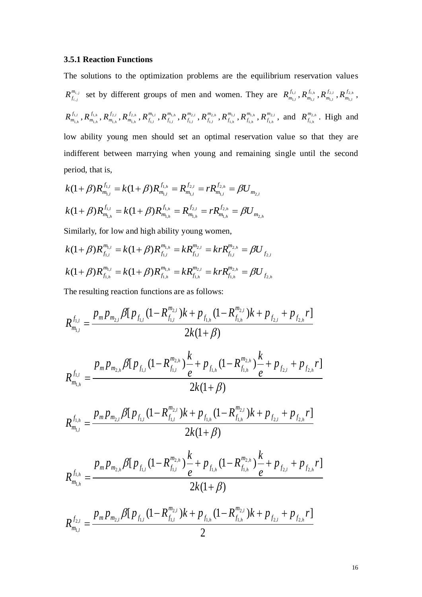### **3.5.1 Reaction Functions**

The solutions to the optimization problems are the equilibrium reservation values *i j i j*  $R^{m_i}_{f_{i,j}}$  $\sum_{i,j}$  set by different groups of men and women. They are  $R_{m_{1,i}}^{J_{1,i}}$ *l*  $R_{\scriptscriptstyle m_1\scriptscriptstyle\cdot\cdot}^{\scriptscriptstyle f_1\scriptscriptstyle\cdot\cdot}$  $\hat{R}^{\scriptscriptstyle 1,l}_{\scriptscriptstyle n_{1,l}}$  ,  $R^{\scriptscriptstyle J_{1,h}}_{\scriptscriptstyle m_{1,l}}$ *l*  $R_{\scriptscriptstyle m_1\scriptscriptstyle\cdot}^{f_1}$  $\hat{R}^{\scriptscriptstyle{\overline{1}},h}_{\scriptscriptstyle{\overline{1},l}}$  ,  $R^{\scriptscriptstyle{\overline{J}}}_{\scriptscriptstyle{\overline{m}}_{\scriptscriptstyle{\overline{1},l}}}$ *l*  $R_{\scriptscriptstyle m_{\scriptscriptstyle 1} \scriptscriptstyle 2}^{\scriptscriptstyle f_{\scriptscriptstyle 2 \scriptscriptstyle 2}}$  $\bar{R}^{\frac{2,l}{J_{2,h}}}$  ,  $R^{\frac{J_{2,h}}{m_{1,l}}}$ *l*  $R_{\scriptscriptstyle m_{\scriptscriptstyle 1} \scriptscriptstyle 2}^{\scriptscriptstyle f_{\scriptscriptstyle 2 \scriptscriptstyle 2}}$  $\frac{1}{l_{1,l}}$ , *l h*  $R_{\scriptscriptstyle m_1\scriptscriptstyle\cdot}^{\scriptscriptstyle f_1\scriptscriptstyle\cdot}$  $\bm{R}^{J_{1,h}}_{n_{1,h}}$  ,  $\bm{R}^{J_{1,h}}_{m_{1,h}}$ *h*  $R_{\scriptscriptstyle m_1\scriptscriptstyle\cdot}^{f_1\scriptscriptstyle\cdot}$  $\boldsymbol{R}^{1,h}_{n_{1,h}}$  ,  $\boldsymbol{R}^{J_{2,l}}_{m_{1,h}}$ *h*  $R^{f_2,\overline{\phantom{a}}}_{m_1}$  $\hat{R}^{\,j_{2,h}}_{n_{1,h}}, R^{\,j_{2,h}}_{m_{1,h}}$ *h*  $R_{\scriptscriptstyle m_{\scriptscriptstyle 1} \scriptscriptstyle 2}^{\scriptscriptstyle f_{\scriptscriptstyle 2 \scriptscriptstyle 2}}$  $\overline{R}_{\scriptscriptstyle \!\!1,h}^{\scriptscriptstyle n_{\scriptscriptstyle \!1,h}}$  ,  $R_{\scriptscriptstyle \!f_{\scriptscriptstyle \!1,l}}^{\scriptscriptstyle m_{\!scriptstyle \!1,h}}$ *l*  $R^{m_{1,\overline{\gamma}}}_{f_{1,l}}$  $f_{\scriptscriptstyle 1,l}^{\scriptscriptstyle n_{\scriptscriptstyle 1,l}}$  ,  $R_{f_{\scriptscriptstyle 1,l}}^{\scriptscriptstyle m_{\scriptscriptstyle 1,h}}$ *l*  $R^{m_{1,\overline{\gamma}}}_{f_{1,l}}$  $f_{\scriptscriptstyle 1,l}^{\scriptscriptstyle n_{1,h}}$  ,  $R_{\scriptscriptstyle f_{1,l}}^{\scriptscriptstyle m_{2,l}}$ *l*  $R^{m_2,\overline{\phantom{m}}}_{f_{1,l}}$  $f_{\scriptscriptstyle 1,l}^{\scriptscriptstyle n_{2,l}}$  ,  $R_{f_{\scriptscriptstyle 1,l}}^{\scriptscriptstyle m_{2,h}}$ *l*  $R^{m_{2},m}_{f_{1,l}}$  $\overline{R}_{\widehat{I}_{1,l}}^{n_{2,h}}, R_{f_{1,h}}^{m_{1,l}}$ *h*  $R^{m_{\!\scriptscriptstyle 1}}_{f_{\!\scriptscriptstyle 1,l}}$  $f_{\scriptscriptstyle 1,h}^{\scriptscriptstyle n_{\scriptscriptstyle 1,l}}$  ,  $R_{f_{\scriptscriptstyle 1,h}}^{\scriptscriptstyle m_{\scriptscriptstyle 1,h}}$ *h*  $R^{m_{1,\overline{\gamma}}}_{f_{1,\overline{\gamma}}}$  $\mathop{R}\limits^{{n_{1,h}}}_{i_{1,h}} , \mathop{R}\limits^{{m_{2,h}}}_{f_{1,h}}$ *h*  $R^{m_2,\overline{\phantom{m}}}_{f_{1,h}}$  $R_{f_{1,h}}^{m_{2,l}}$ , and  $R_{f_{1,h}}^{m_{2,h}}$ *h*  $R^{m_2,\overline{\phantom{m}}}_{f_{1,h}}$  $\int_{f_{1,h}}^{n_{2,h}}$ . High and low ability young men should set an optimal reservation value so that they are indifferent between marrying when young and remaining single until the second period, that is,

$$
k(1+\beta)R_{m_{1,l}}^{f_{1,l}} = k(1+\beta)R_{m_{1,l}}^{f_{1,h}} = R_{m_{1,l}}^{f_{2,l}} = rR_{m_{1,l}}^{f_{2,h}} = \beta U_{m_{2,l}}
$$
  

$$
k(1+\beta)R_{m_{1,h}}^{f_{1,l}} = k(1+\beta)R_{m_{1,h}}^{f_{1,h}} = R_{m_{1,h}}^{f_{2,l}} = rR_{m_{1,h}}^{f_{2,h}} = \beta U_{m_{2,h}}
$$

Similarly, for low and high ability young women,  
\n
$$
k(1+\beta)R_{f_{1,l}}^{m_{1,l}} = k(1+\beta)R_{f_{1,l}}^{m_{1,h}} = kR_{f_{1,l}}^{m_{2,l}} = krR_{f_{1,l}}^{m_{2,h}} = \beta U_{f_{2,l}}
$$
\n
$$
k(1+\beta)R_{f_{1,h}}^{m_{1,l}} = k(1+\beta)R_{f_{1,h}}^{m_{1,h}} = kR_{f_{1,h}}^{m_{2,l}} = krR_{f_{1,h}}^{m_{2,h}} = \beta U_{f_{2,h}}
$$

The resulting reaction functions are as follows:

$$
R_{m_{1,l}}^{f_{1,l}} = \frac{p_m p_{m_{2,l}} \beta [p_{f_{1,l}} (1 - R_{f_{1,l}}^{m_{2,l}})k + p_{f_{1,h}} (1 - R_{f_{1,h}}^{m_{2,l}})k + p_{f_{2,l}} + p_{f_{2,h}} r]}{2k(1 + \beta)}
$$
  

$$
R_{m_{1,h}}^{f_{1,l}} = \frac{p_m p_{m_{2,h}} \beta [p_{f_{1,l}} (1 - R_{f_{1,l}}^{m_{2,h}}) \frac{k}{e} + p_{f_{1,h}} (1 - R_{f_{1,h}}^{m_{2,h}}) \frac{k}{e} + p_{f_{2,l}} + p_{f_{2,h}} r]}{2k(1 + \beta)}
$$

$$
R_{m_{1,l}}^{f_{1,h}} = \frac{p_m p_{m_{2,l}} \beta [p_{f_{1,l}} (1 - R_{f_{1,l}}^{m_{2,l}})k + p_{f_{1,h}} (1 - R_{f_{1,h}}^{m_{2,l}})k + p_{f_{2,l}} + p_{f_{2,h}} r]}{2k(1+\beta)}
$$

$$
R_{m_{1,h}}^{f_{1,h}} = \frac{p_m p_{m_{2,h}} \beta [p_{f_{1,l}} (1 - R_{f_{1,l}}^{m_{2,h}}) \frac{k}{e} + p_{f_{1,h}} (1 - R_{f_{1,h}}^{m_{2,h}}) \frac{k}{e} + p_{f_{2,l}} + p_{f_{2,h}} r]}{2k(1+\beta)}
$$

$$
R_{m_{1,l}}^{f_{2,l}} = \frac{p_m p_{m_{2,l}} \beta [p_{f_{1,l}} (1 - R_{f_{1,l}}^{m_{2,l}})k + p_{f_{1,h}} (1 - R_{f_{1,h}}^{m_{2,l}})k + p_{f_{2,l}} + p_{f_{2,h}} r]}{2}
$$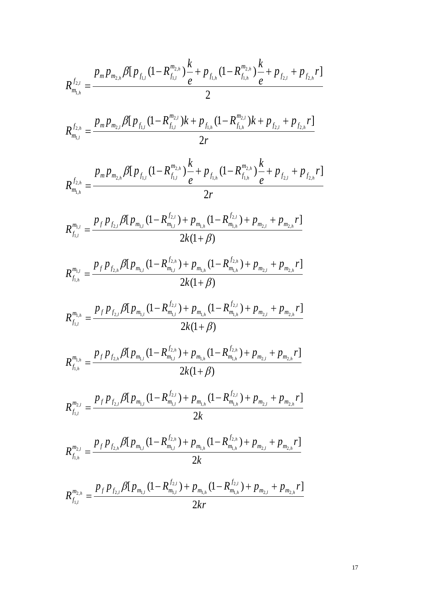$$
R_{m_{1,h}}^{f_{2,l}} = \frac{p_m p_{m_{2,h}} \beta [p_{f_{1,l}} (1 - R_{f_{1,l}}^{m_{2,h}}) \frac{k}{e} + p_{f_{1,h}} (1 - R_{f_{1,h}}^{m_{2,h}}) \frac{k}{e} + p_{f_{2,l}} + p_{f_{2,h}} r]}{2}
$$

$$
R_{m_{1,l}}^{f_{2,h}} = \frac{p_m p_{m_{2,l}} \beta [p_{f_{1,l}} (1 - R_{f_{1,l}}^{m_{2,l}})k + p_{f_{1,h}} (1 - R_{f_{1,h}}^{m_{2,l}})k + p_{f_{2,l}} + p_{f_{2,h}} r]}{2r}
$$

$$
R_{m_{1,h}}^{f_{2,h}} = \frac{p_m p_{m_{2,h}} \beta [p_{f_{1,l}} (1 - R_{f_{1,l}}^{m_{2,h}}) \frac{k}{e} + p_{f_{1,h}} (1 - R_{f_{1,h}}^{m_{2,h}}) \frac{k}{e} + p_{f_{2,l}} + p_{f_{2,h}} r]}{2r}
$$

$$
R_{f_{1,l}}^{m_{1,l}} = \frac{p_f p_{f_{2,l}} \beta [p_{m_{1,l}} (1 - R_{m_{1,l}}^{f_{2,l}}) + p_{m_{1,h}} (1 - R_{m_{1,h}}^{f_{2,l}}) + p_{m_{2,l}} + p_{m_{2,h}} r]}{2k(1+\beta)}
$$

$$
R_{f_{1,h}}^{m_{1,l}} = \frac{p_f p_{f_{2,h}} \beta [p_{m_{1,l}} (1 - R_{m_{1,l}}^{f_{2,h}}) + p_{m_{1,h}} (1 - R_{m_{1,h}}^{f_{2,h}}) + p_{m_{2,l}} + p_{m_{2,h}} r]}{2k(1+\beta)}
$$

$$
R_{f_{1,l}}^{m_{1,h}} = \frac{p_f p_{f_{2,l}} \beta [p_{m_{1,l}} (1 - R_{m_{1,l}}^{f_{2,l}}) + p_{m_{1,h}} (1 - R_{m_{1,h}}^{f_{2,l}}) + p_{m_{2,l}} + p_{m_{2,h}} r]}{2k(1+\beta)}
$$

$$
R_{f_{1,h}}^{m_{1,h}} = \frac{p_f p_{f_{2,h}} \beta [p_{m_{1,l}} (1 - R_{m_{1,l}}^{f_{2,h}}) + p_{m_{1,h}} (1 - R_{m_{1,h}}^{f_{2,h}}) + p_{m_{2,l}} + p_{m_{2,h}} r]}{2k(1+\beta)}
$$

$$
R_{f_{1,l}}^{m_{2,l}} = \frac{p_f p_{f_{2,l}} \beta [p_{m_{1,l}} (1 - R_{m_{1,l}}^{f_{2,l}}) + p_{m_{1,h}} (1 - R_{m_{1,h}}^{f_{2,l}}) + p_{m_{2,l}} + p_{m_{2,h}} r]}{2k}
$$

$$
R_{f_{1,h}}^{m_{2,l}} = \frac{p_f p_{f_{2,h}} \beta [p_{m_{1,l}} (1 - R_{m_{1,l}}^{f_{2,h}}) + p_{m_{1,h}} (1 - R_{m_{1,h}}^{f_{2,h}}) + p_{m_{2,l}} + p_{m_{2,h}} r]}{2k}
$$

$$
R_{f_{1,l}}^{m_{2,h}} = \frac{p_f p_{f_{2,l}} \beta [p_{m_{1,l}} (1 - R_{m_{1,l}}^{f_{2,l}}) + p_{m_{1,h}} (1 - R_{m_{1,h}}^{f_{2,l}}) + p_{m_{2,l}} + p_{m_{2,h}} r]}{2kr}
$$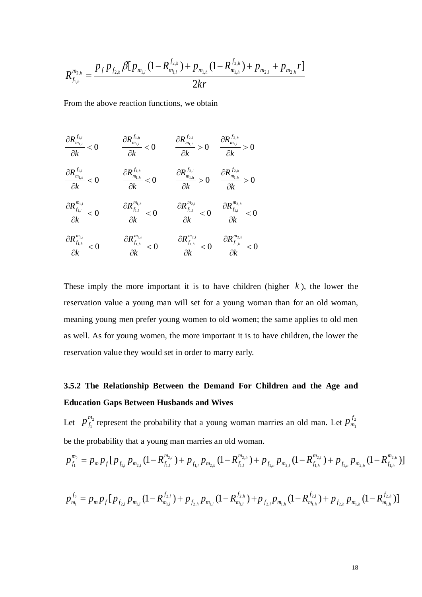$$
R_{f_{1,h}}^{m_{2,h}} = \frac{p_f p_{f_{2,h}} \beta [p_{m_{1,l}} (1 - R_{m_{1,l}}^{f_{2,h}}) + p_{m_{1,h}} (1 - R_{m_{1,h}}^{f_{2,h}}) + p_{m_{2,l}} + p_{m_{2,h}} r]}{2kr}
$$

From the above reaction functions, we obtain

$$
\frac{\partial R_{m_{i,l}}^{f_{1,l}}}{\partial k} < 0 \qquad \frac{\partial R_{m_{i,l}}^{f_{1,h}}}{\partial k} < 0 \qquad \frac{\partial R_{m_{i,l}}^{f_{2,l}}}{\partial k} > 0 \qquad \frac{\partial R_{m_{i,l}}^{f_{2,h}}}{\partial k} > 0
$$
\n
$$
\frac{\partial R_{m_{i,h}}^{f_{1,l}}}{\partial k} < 0 \qquad \frac{\partial R_{m_{i,h}}^{f_{1,h}}}{\partial k} < 0 \qquad \frac{\partial R_{m_{i,h}}^{f_{2,l}}}{\partial k} > 0 \qquad \frac{\partial R_{m_{i,h}}^{f_{2,h}}}{\partial k} > 0
$$
\n
$$
\frac{\partial R_{m_{i,l}}^{m_{i,l}}}{\partial k} < 0 \qquad \frac{\partial R_{f_{1,l}}^{m_{i,h}}}{\partial k} < 0 \qquad \frac{\partial R_{f_{1,l}}^{m_{2,h}}}{\partial k} < 0 \qquad \frac{\partial R_{f_{1,h}}^{m_{2,h}}}{\partial k} < 0
$$
\n
$$
\frac{\partial R_{f_{1,h}}^{m_{1,l}}}{\partial k} < 0 \qquad \frac{\partial R_{f_{1,h}}^{m_{1,h}}}{\partial k} < 0 \qquad \frac{\partial R_{f_{1,h}}^{m_{2,h}}}{\partial k} < 0 \qquad \frac{\partial R_{f_{1,h}}^{m_{2,h}}}{\partial k} < 0
$$

These imply the more important it is to have children (higher  $k$ ), the lower the reservation value a young man will set for a young woman than for an old woman, meaning young men prefer young women to old women; the same applies to old men as well. As for young women, the more important it is to have children, the lower the reservation value they would set in order to marry early.

# **3.5.2 The Relationship Between the Demand For Children and the Age and Education Gaps Between Husbands and Wives**

Let  $p_{f_1}^{m_2}$ 1 *m*  $p_{f_1}^{m_2}$  represent the probability that a young woman marries an old man. Let  $p_{m_1}^{f_2}$  $\overline{1}$ *f*  $p_m^f$ be the probability that a young man marries an old woman.

$$
p_{f_1}^{m_2} = p_m p_f [p_{f_{1,l}} p_{m_{2,l}} (1 - R_{f_{1,l}}^{m_{2,l}}) + p_{f_{1,l}} p_{m_{2,h}} (1 - R_{f_{1,l}}^{m_{2,h}}) + p_{f_{1,h}} p_{m_{2,l}} (1 - R_{f_{1,h}}^{m_{2,l}}) + p_{f_{1,h}} p_{m_{2,h}} (1 - R_{f_{1,h}}^{m_{2,h}})]
$$

$$
p_{m_1}^{f_2} = p_m p_f [p_{f_{2,l}} p_{m_{1,l}} (1 - R_{m_{1,l}}^{f_{2,l}}) + p_{f_{2,h}} p_{m_{1,l}} (1 - R_{m_{1,l}}^{f_{2,h}}) + p_{f_{2,l}} p_{m_{1,h}} (1 - R_{m_{1,h}}^{f_{2,l}}) + p_{f_{2,h}} p_{m_{1,h}} (1 - R_{m_{1,h}}^{f_{2,h}})]
$$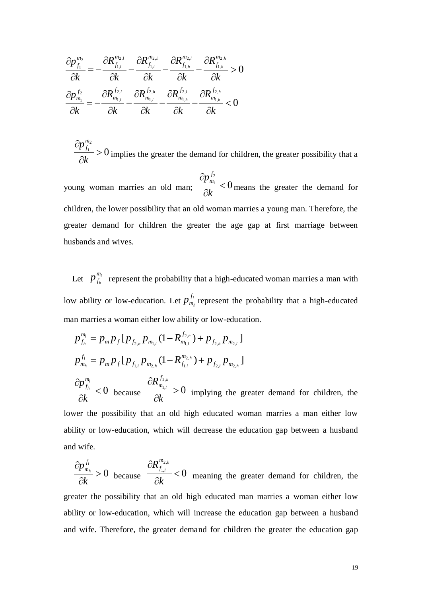$$
\frac{\partial p_{f_1}^{m_2}}{\partial k} = -\frac{\partial R_{f_{1,l}}^{m_{2,l}}}{\partial k} - \frac{\partial R_{f_{1,l}}^{m_{2,h}}}{\partial k} - \frac{\partial R_{f_{1,h}}^{m_{2,h}}}{\partial k} - \frac{\partial R_{f_{1,h}}^{m_{2,h}}}{\partial k} > 0
$$

$$
\frac{\partial p_{m_1}^{f_2}}{\partial k} = -\frac{\partial R_{m_{1,l}}^{f_{2,l}}}{\partial k} - \frac{\partial R_{m_{1,l}}^{f_{2,h}}}{\partial k} - \frac{\partial R_{m_{1,h}}^{f_{2,h}}}{\partial k} - \frac{\partial R_{m_{1,h}}^{f_{2,h}}}{\partial k} < 0
$$

0 2  $\frac{1}{1}$  >  $\partial$  $\partial$ *k*  $p^{\frac{m}{f_i}}$  $\frac{f_1}{f_1}$  > 0 implies the greater the demand for children, the greater possibility that a

young woman marries an old man;  $\frac{1}{2}$  /M<sub>n</sub>  $\leq 0$ 2  $\frac{l_1}{l_1}$  $\partial$  $\partial$ *k p f*  $\frac{m_1}{m_1}$  < 0 means the greater the demand for children, the lower possibility that an old woman marries a young man. Therefore, the greater demand for children the greater the age gap at first marriage between husbands and wives.

Let  $p_{f_k}^{m_l}$ *h m*  $p_{f_h}^{m_l}$  represent the probability that a high-educated woman marries a man with low ability or low-education. Let  $p_m^{\prime\prime}$ *h f*  $p_{m_h}^{f_l}$  represent the probability that a high-educated man marries a woman either low ability or low-education.

$$
\frac{P_{j_1}}{\partial k} = -\frac{n_i}{\partial k} - \frac{n_{i_2}}{\partial k} - \frac{n_{i_3}}{\partial k} - \frac{n_{i_4}}{\partial k} - \frac{n_{i_5}}{\partial k} > 0
$$
\n
$$
\frac{\partial p_{m_i}^{f_2}}{\partial k} = -\frac{\partial R_{m_i}^{f_{2,i}}}{\partial k} - \frac{\partial R_{m_i}^{f_{2,i}}}{\partial k} - \frac{\partial R_{m_i}^{f_{2,i}}}{\partial k} - \frac{\partial R_{m_i}^{f_{2,i}}}{\partial k} < 0
$$
\n
$$
\frac{\partial p_{j_1}^{f_2}}{\partial k} > 0
$$
\nimplies the greater the demand for children, the greater possibility that a young woman marries a volume of children, the lower possibility that an old woman marries a young man. Therefore, the greater demand for children the greater the age gap at first marriage between husbands and wives.

\nLet  $p_{j_2}^{m_1}$  represent the probability that a high-ducted woman marries a man with low ability or low-ductation. Let  $p_{m_i}^{f_i}$  represent the probability that a high-ductated man marries a woman either low ability or low-electation.

\n
$$
p_{j_4}^{m_5} = p_m p_j [p_{j_{2,k}} p_{m_{2,k}} (1 - R_{j_{2,k}}^{m_{2,k}}) + p_{j_{2,k}} p_{m_{2,k}}]
$$
\n
$$
p_{m_i}^{f_i} = p_m p_j [p_{j_{2,k}} p_{m_{2,k}} (1 - R_{j_{1,k}}^{m_{2,k}}) + p_{j_{2,k}} p_{m_{2,k}}]
$$
\n
$$
\frac{\partial p_{j_k}^{f_i}}{\partial k} < 0
$$
\nbecause  $\frac{\partial R_{j_{2,k}}^{f_{2,k}}}{\partial k} > 0$  implying the greater demand for children, the lower possibility that an old high educated woman marries a man either low ability or low-electroation, which will decrease the education gap between a husband and wife.

\nTherefore, the possibility that an old high educated man marries a woman either low ability or low-ductation, which will increase the education gap between a husband and wife. Therefore, the greater demand for children the greater the education gap between a husband and wife. Therefore, the greater demand for children the greater the education gap

ability or low-education, which will decrease the education gap between a husband and wife.

 $> 0$  $\partial$  $\partial$ *k*  $p_m^{J_l}$ *h f*  $\frac{m_h}{l} > 0$  because  $\frac{m_{f_{1,l}}}{2l} < 0$ 2,  $\frac{1,l}{\cdot}$  <  $\partial$  $\partial$ *k*  $R^{m_{2,h}}_{\scriptscriptstyle f_{1,h}}$ *l m f* meaning the greater demand for children, the greater the possibility that an old high educated man marries a woman either low ability or low-education, which will increase the education gap between a husband and wife. Therefore, the greater demand for children the greater the education gap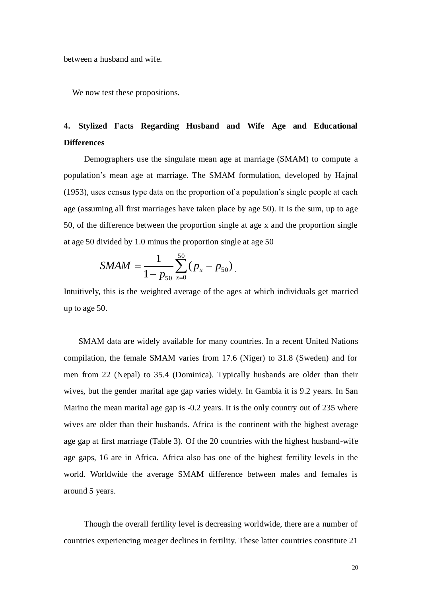between a husband and wife.

We now test these propositions.

# **4. Stylized Facts Regarding Husband and Wife Age and Educational Differences**

Demographers use the singulate mean age at marriage (SMAM) to compute a population's mean age at marriage. The SMAM formulation, developed by Hajnal (1953), uses census type data on the proportion of a population's single people at each age (assuming all first marriages have taken place by age 50). It is the sum, up to age 50, of the difference between the proportion single at age x and the proportion single at age 50 divided by 1.0 minus the proportion single at age 50

$$
SMAM = \frac{1}{1 - p_{50}} \sum_{x=0}^{50} (p_x - p_{50}).
$$

Intuitively, this is the weighted average of the ages at which individuals get married up to age 50.

SMAM data are widely available for many countries. In a recent United Nations compilation, the female SMAM varies from 17.6 (Niger) to 31.8 (Sweden) and for men from 22 (Nepal) to 35.4 (Dominica). Typically husbands are older than their wives, but the gender marital age gap varies widely. In Gambia it is 9.2 years. In San Marino the mean marital age gap is -0.2 years. It is the only country out of 235 where wives are older than their husbands. Africa is the continent with the highest average age gap at first marriage (Table 3). Of the 20 countries with the highest husband-wife age gaps, 16 are in Africa. Africa also has one of the highest fertility levels in the world. Worldwide the average SMAM difference between males and females is around 5 years.

Though the overall fertility level is decreasing worldwide, there are a number of countries experiencing meager declines in fertility. These latter countries constitute 21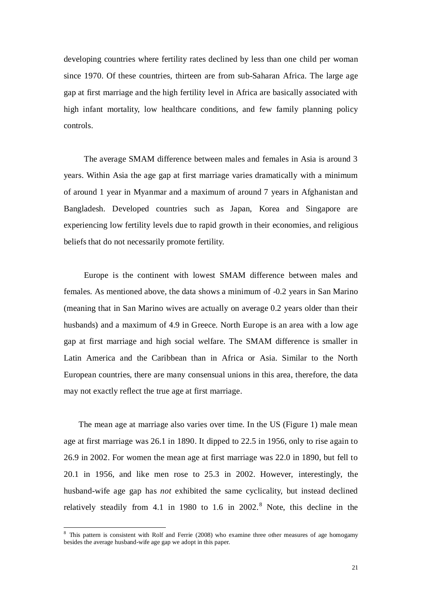developing countries where fertility rates declined by less than one child per woman since 1970. Of these countries, thirteen are from sub-Saharan Africa. The large age gap at first marriage and the high fertility level in Africa are basically associated with high infant mortality, low healthcare conditions, and few family planning policy controls.

The average SMAM difference between males and females in Asia is around 3 years. Within Asia the age gap at first marriage varies dramatically with a minimum of around 1 year in Myanmar and a maximum of around 7 years in Afghanistan and Bangladesh. Developed countries such as Japan, Korea and Singapore are experiencing low fertility levels due to rapid growth in their economies, and religious beliefs that do not necessarily promote fertility.

Europe is the continent with lowest SMAM difference between males and females. As mentioned above, the data shows a minimum of -0.2 years in San Marino (meaning that in San Marino wives are actually on average 0.2 years older than their husbands) and a maximum of 4.9 in Greece. North Europe is an area with a low age gap at first marriage and high social welfare. The SMAM difference is smaller in Latin America and the Caribbean than in Africa or Asia. Similar to the North European countries, there are many consensual unions in this area, therefore, the data may not exactly reflect the true age at first marriage.

The mean age at marriage also varies over time. In the US (Figure 1) male mean age at first marriage was 26.1 in 1890. It dipped to 22.5 in 1956, only to rise again to 26.9 in 2002. For women the mean age at first marriage was 22.0 in 1890, but fell to 20.1 in 1956, and like men rose to 25.3 in 2002. However, interestingly, the husband-wife age gap has *not* exhibited the same cyclicality, but instead declined relatively steadily from 4.1 in 1980 to 1.6 in 2002. <sup>8</sup> Note, this decline in the

<sup>&</sup>lt;sup>8</sup> This pattern is consistent with Rolf and Ferrie (2008) who examine three other measures of age homogamy besides the average husband-wife age gap we adopt in this paper.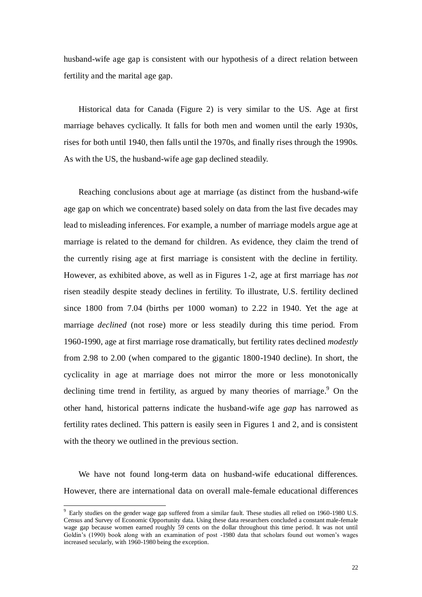husband-wife age gap is consistent with our hypothesis of a direct relation between fertility and the marital age gap.

Historical data for Canada (Figure 2) is very similar to the US. Age at first marriage behaves cyclically. It falls for both men and women until the early 1930s, rises for both until 1940, then falls until the 1970s, and finally rises through the 1990s. As with the US, the husband-wife age gap declined steadily.

Reaching conclusions about age at marriage (as distinct from the husband-wife age gap on which we concentrate) based solely on data from the last five decades may lead to misleading inferences. For example, a number of marriage models argue age at marriage is related to the demand for children. As evidence, they claim the trend of the currently rising age at first marriage is consistent with the decline in fertility. However, as exhibited above, as well as in Figures 1-2, age at first marriage has *not* risen steadily despite steady declines in fertility. To illustrate, U.S. fertility declined since 1800 from 7.04 (births per 1000 woman) to 2.22 in 1940. Yet the age at marriage *declined* (not rose) more or less steadily during this time period. From 1960-1990, age at first marriage rose dramatically, but fertility rates declined *modestly* from 2.98 to 2.00 (when compared to the gigantic 1800-1940 decline). In short, the cyclicality in age at marriage does not mirror the more or less monotonically declining time trend in fertility, as argued by many theories of marriage.<sup>9</sup> On the other hand, historical patterns indicate the husband-wife age *gap* has narrowed as fertility rates declined. This pattern is easily seen in Figures 1 and 2, and is consistent with the theory we outlined in the previous section.

We have not found long-term data on husband-wife educational differences. However, there are international data on overall male-female educational differences

<sup>9</sup> Early studies on the gender wage gap suffered from a similar fault. These studies all relied on 1960-1980 U.S. Census and Survey of Economic Opportunity data. Using these data researchers concluded a constant male-female wage gap because women earned roughly 59 cents on the dollar throughout this time period. It was not until Goldin's (1990) book along with an examination of post -1980 data that scholars found out women's wages increased secularly, with 1960-1980 being the exception.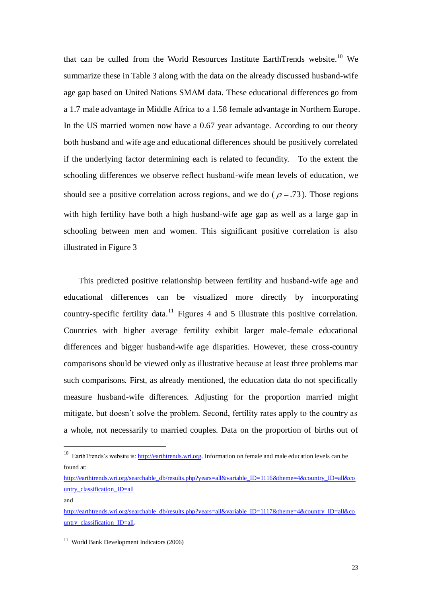that can be culled from the World Resources Institute EarthTrends website. <sup>10</sup> We summarize these in Table 3 along with the data on the already discussed husband-wife age gap based on United Nations SMAM data. These educational differences go from a 1.7 male advantage in Middle Africa to a 1.58 female advantage in Northern Europe. In the US married women now have a 0.67 year advantage. According to our theory both husband and wife age and educational differences should be positively correlated if the underlying factor determining each is related to fecundity. To the extent the schooling differences we observe reflect husband-wife mean levels of education, we should see a positive correlation across regions, and we do ( $\rho = .73$ ). Those regions with high fertility have both a high husband-wife age gap as well as a large gap in schooling between men and women. This significant positive correlation is also illustrated in Figure 3

This predicted positive relationship between fertility and husband-wife age and educational differences can be visualized more directly by incorporating country-specific fertility data.<sup>11</sup> Figures 4 and 5 illustrate this positive correlation. Countries with higher average fertility exhibit larger male-female educational differences and bigger husband-wife age disparities. However, these cross-country comparisons should be viewed only as illustrative because at least three problems mar such comparisons. First, as already mentioned, the education data do not specifically measure husband-wife differences. Adjusting for the proportion married might mitigate, but doesn't solve the problem. Second, fertility rates apply to the country as a whole, not necessarily to married couples. Data on the proportion of births out of

and

<sup>&</sup>lt;sup>10</sup> EarthTrends's website is: [http://earthtrends.wri.org.](http://earthtrends.wri.org/) Information on female and male education levels can be found at:

[http://earthtrends.wri.org/searchable\\_db/results.php?years=all&variable\\_ID=1116&theme=4&country\\_ID=all&co](http://earthtrends.wri.org/searchable_db/results.php?years=all&variable_ID=1116&theme=4&country_ID=all&country_classification_ID=all) [untry\\_classification\\_ID=all](http://earthtrends.wri.org/searchable_db/results.php?years=all&variable_ID=1116&theme=4&country_ID=all&country_classification_ID=all)

[http://earthtrends.wri.org/searchable\\_db/results.php?years=all&variable\\_ID=1117&theme=4&country\\_ID=all&co](http://earthtrends.wri.org/searchable_db/results.php?years=all&variable_ID=1117&theme=4&country_ID=all&country_classification_ID=all) [untry\\_classification\\_ID=all](http://earthtrends.wri.org/searchable_db/results.php?years=all&variable_ID=1117&theme=4&country_ID=all&country_classification_ID=all).

<sup>11</sup> World Bank Development Indicators (2006)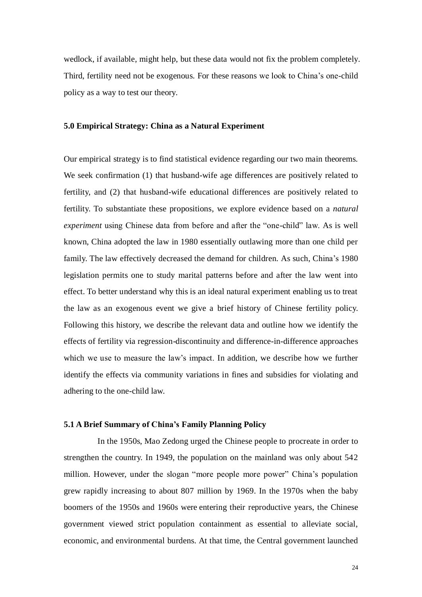wedlock, if available, might help, but these data would not fix the problem completely. Third, fertility need not be exogenous. For these reasons we look to China's one-child policy as a way to test our theory.

### **5.0 Empirical Strategy: China as a Natural Experiment**

Our empirical strategy is to find statistical evidence regarding our two main theorems. We seek confirmation (1) that husband-wife age differences are positively related to fertility, and (2) that husband-wife educational differences are positively related to fertility. To substantiate these propositions, we explore evidence based on a *natural experiment* using Chinese data from before and after the "one-child" law. As is well known, China adopted the law in 1980 essentially outlawing more than one child per family. The law effectively decreased the demand for children. As such, China's 1980 legislation permits one to study marital patterns before and after the law went into effect. To better understand why this is an ideal natural experiment enabling us to treat the law as an exogenous event we give a brief history of Chinese fertility policy. Following this history, we describe the relevant data and outline how we identify the effects of fertility via regression-discontinuity and difference-in-difference approaches which we use to measure the law's impact. In addition, we describe how we further identify the effects via community variations in fines and subsidies for violating and adhering to the one-child law.

#### **5.1 A Brief Summary of China's Family Planning Policy**

 In the 1950s, Mao Zedong urged the Chinese people to procreate in order to strengthen the country. In 1949, the population on the mainland was only about 542 million. However, under the slogan "more people more power" China's population grew rapidly increasing to about 807 million by 1969. In the 1970s when the baby boomers of the 1950s and 1960s were entering their reproductive years, the Chinese government viewed strict population containment as essential to alleviate social, economic, and environmental burdens. At that time, the Central government launched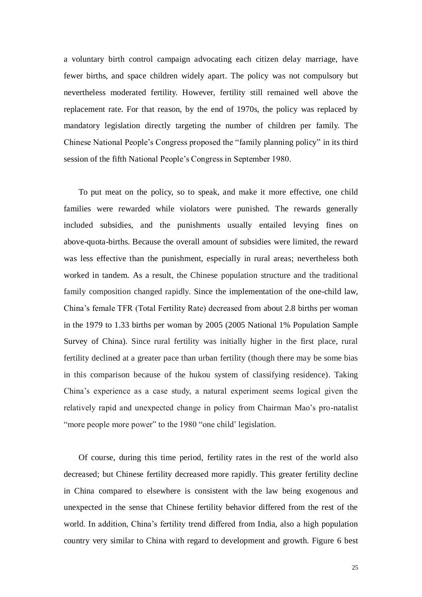a voluntary birth control campaign advocating each citizen delay marriage, have fewer births, and space children widely apart. The policy was not compulsory but nevertheless moderated fertility. However, fertility still remained well above the replacement rate. For that reason, by the end of 1970s, the policy was replaced by mandatory legislation directly targeting the number of children per family. The Chinese National People's Congress proposed the "family planning policy" in its third session of the fifth National People's Congress in September 1980.

To put meat on the policy, so to speak, and make it more effective, one child families were rewarded while violators were punished. The rewards generally included subsidies, and the punishments usually entailed levying fines on above-quota-births. Because the overall amount of subsidies were limited, the reward was less effective than the punishment, especially in rural areas; nevertheless both worked in tandem. As a result, the Chinese population structure and the traditional family composition changed rapidly. Since the implementation of the one-child law, China's female TFR (Total Fertility Rate) decreased from about 2.8 births per woman in the 1979 to 1.33 births per woman by 2005 (2005 National 1% Population Sample Survey of China). Since rural fertility was initially higher in the first place, rural fertility declined at a greater pace than urban fertility (though there may be some bias in this comparison because of the hukou system of classifying residence). Taking China's experience as a case study, a natural experiment seems logical given the relatively rapid and unexpected change in policy from Chairman Mao's pro-natalist "more people more power" to the 1980 "one child' legislation.

Of course, during this time period, fertility rates in the rest of the world also decreased; but Chinese fertility decreased more rapidly. This greater fertility decline in China compared to elsewhere is consistent with the law being exogenous and unexpected in the sense that Chinese fertility behavior differed from the rest of the world. In addition, China's fertility trend differed from India, also a high population country very similar to China with regard to development and growth. Figure 6 best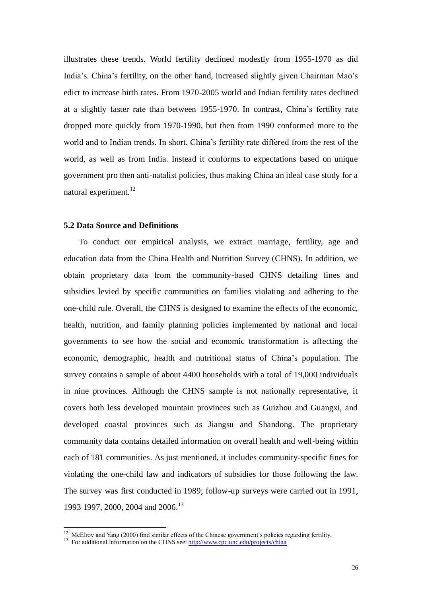illustrates these trends. World fertility declined modestly from 1955-1970 as did India's. China's fertility, on the other hand, increased slightly given Chairman Mao's edict to increase birth rates. From 1970-2005 world and Indian fertility rates declined at a slightly faster rate than between 1955-1970. In contrast, China's fertility rate dropped more quickly from 1970-1990, but then from 1990 conformed more to the world and to Indian trends. In short, China's fertility rate differed from the rest of the world, as well as from India. Instead it conforms to expectations based on unique government pro then anti-natalist policies, thus making China an ideal case study for a natural experiment.<sup>12</sup>

#### **5.2 Data Source and Definitions**

To conduct our empirical analysis, we extract marriage, fertility, age and education data from the China Health and Nutrition Survey (CHNS). In addition, we obtain proprietary data from the community-based CHNS detailing fines and subsidies levied by specific communities on families violating and adhering to the one-child rule. Overall, the CHNS is designed to examine the effects of the economic, health, nutrition, and family planning policies implemented by national and local governments to see how the social and economic transformation is affecting the economic, demographic, health and nutritional status of China's population. The survey contains a sample of about 4400 households with a total of 19,000 individuals in nine provinces. Although the CHNS sample is not nationally representative, it covers both less developed mountain provinces such as Guizhou and Guangxi, and developed coastal provinces such as Jiangsu and Shandong. The proprietary community data contains detailed information on overall health and well-being within each of 181 communities. As just mentioned, it includes community-specific fines for violating the one-child law and indicators of subsidies for those following the law. The survey was first conducted in 1989; follow-up surveys were carried out in 1991, 1993 1997, 2000, 2004 and 2006.<sup>13</sup>

<sup>&</sup>lt;sup>12</sup> McElroy and Yang (2000) find similar effects of the Chinese government's policies regarding fertility.

<sup>&</sup>lt;sup>13</sup> For additional information on the CHNS see[: http://www.cpc.unc.edu/projects/china](http://www.cpc.unc.edu/projects/china)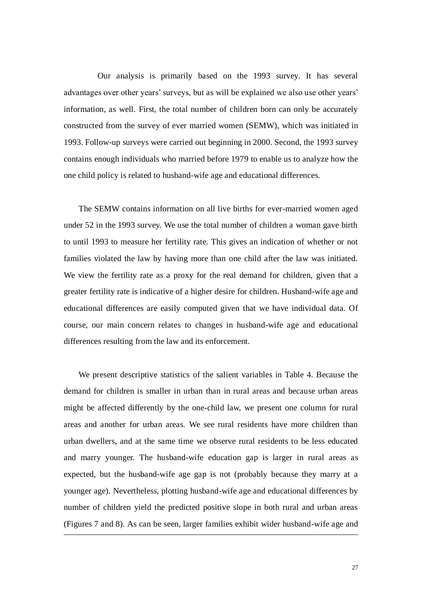Our analysis is primarily based on the 1993 survey. It has several advantages over other years' surveys, but as will be explained we also use other years' information, as well. First, the total number of children born can only be accurately constructed from the survey of ever married women (SEMW), which was initiated in 1993. Follow-up surveys were carried out beginning in 2000. Second, the 1993 survey contains enough individuals who married before 1979 to enable us to analyze how the one child policy is related to husband-wife age and educational differences.

The SEMW contains information on all live births for ever-married women aged under 52 in the 1993 survey. We use the total number of children a woman gave birth to until 1993 to measure her fertility rate. This gives an indication of whether or not families violated the law by having more than one child after the law was initiated. We view the fertility rate as a proxy for the real demand for children, given that a greater fertility rate is indicative of a higher desire for children. Husband-wife age and educational differences are easily computed given that we have individual data. Of course, our main concern relates to changes in husband-wife age and educational differences resulting from the law and its enforcement.

We present descriptive statistics of the salient variables in Table 4. Because the demand for children is smaller in urban than in rural areas and because urban areas might be affected differently by the one-child law, we present one column for rural areas and another for urban areas. We see rural residents have more children than urban dwellers, and at the same time we observe rural residents to be less educated and marry younger. The husband-wife education gap is larger in rural areas as expected, but the husband-wife age gap is not (probably because they marry at a younger age). Nevertheless, plotting husband-wife age and educational differences by number of children yield the predicted positive slope in both rural and urban areas (Figures 7 and 8). As can be seen, larger families exhibit wider husband-wife age and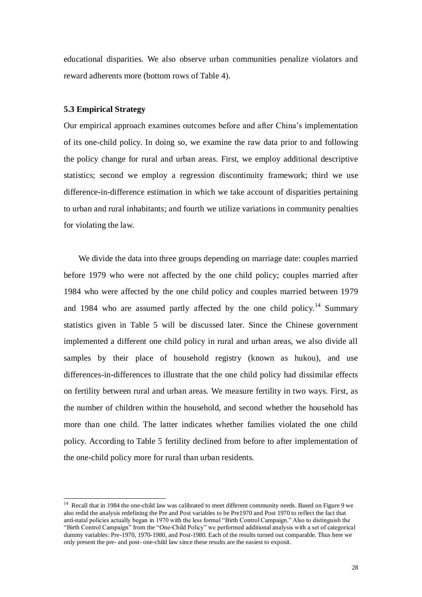educational disparities. We also observe urban communities penalize violators and reward adherents more (bottom rows of Table 4).

#### **5.3 Empirical Strategy**

-

Our empirical approach examines outcomes before and after China's implementation of its one-child policy. In doing so, we examine the raw data prior to and following the policy change for rural and urban areas. First, we employ additional descriptive statistics; second we employ a regression discontinuity framework; third we use difference-in-difference estimation in which we take account of disparities pertaining to urban and rural inhabitants; and fourth we utilize variations in community penalties for violating the law.

We divide the data into three groups depending on marriage date: couples married before 1979 who were not affected by the one child policy; couples married after 1984 who were affected by the one child policy and couples married between 1979 and 1984 who are assumed partly affected by the one child policy.<sup>14</sup> Summary statistics given in Table 5 will be discussed later. Since the Chinese government implemented a different one child policy in rural and urban areas, we also divide all samples by their place of household registry (known as hukou), and use differences-in-differences to illustrate that the one child policy had dissimilar effects on fertility between rural and urban areas. We measure fertility in two ways. First, as the number of children within the household, and second whether the household has more than one child. The latter indicates whether families violated the one child policy. According to Table 5 fertility declined from before to after implementation of the one-child policy more for rural than urban residents.

<sup>&</sup>lt;sup>14</sup> Recall that in 1984 the one-child law was calibrated to meet different community needs. Based on Figure 9 we also redid the analysis redefining the Pre and Post variables to be Pre1970 and Post 1970 to reflect the fact that anti-natal policies actually began in 1970 with the less formal "Birth Control Campaign." Also to distinguish the "Birth Control Campaign" from the "One-Child Policy" we performed additional analysis with a set of categorical dummy variables: Pre-1970, 1970-1980, and Post-1980. Each of the results turned out comparable. Thus here we only present the pre- and post- one-child law since these results are the easiest to exposit.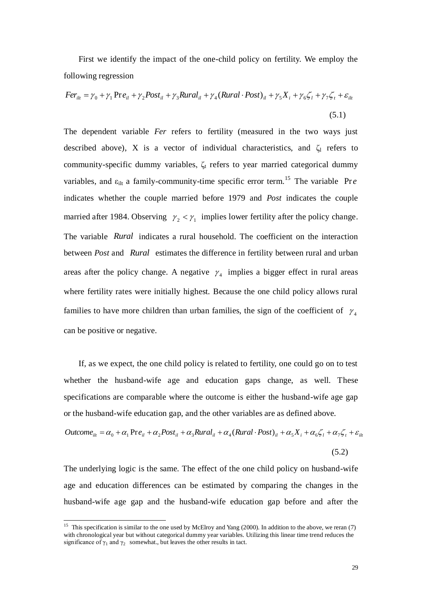First we identify the impact of the one-child policy on fertility. We employ the following regression

$$
Fer_{ilt} = \gamma_0 + \gamma_1 \operatorname{Pre}_{il} + \gamma_2 \operatorname{Post}_{il} + \gamma_3 \operatorname{Rural}_{il} + \gamma_4 (\operatorname{Rural} \cdot \operatorname{Post})_{il} + \gamma_5 X_i + \gamma_6 \zeta_l + \gamma_7 \zeta_t + \varepsilon_{ilt}
$$
\n
$$
\tag{5.1}
$$

The dependent variable *Fer* refers to fertility (measured in the two ways just described above), X is a vector of individual characteristics, and  $\zeta_1$  refers to community-specific dummy variables,  $\zeta_t$  refers to year married categorical dummy variables, and  $\varepsilon_{\text{alt}}$  a family-community-time specific error term.<sup>15</sup> The variable Pre indicates whether the couple married before 1979 and *Post* indicates the couple married after 1984. Observing  $\gamma_2 < \gamma_1$  implies lower fertility after the policy change. The variable *Rural* indicates a rural household. The coefficient on the interaction between *Post* and *Rural* estimates the difference in fertility between rural and urban areas after the policy change. A negative  $\gamma_4$  implies a bigger effect in rural areas where fertility rates were initially highest. Because the one child policy allows rural families to have more children than urban families, the sign of the coefficient of  $\gamma_4$ can be positive or negative.

If, as we expect, the one child policy is related to fertility, one could go on to test whether the husband-wife age and education gaps change, as well. These specifications are comparable where the outcome is either the husband-wife age gap or the husband-wife education gap, and the other variables are as defined above.

$$
Outcome_{ilt} = \alpha_0 + \alpha_1 Pre_{il} + \alpha_2 Post_{il} + \alpha_3 Rural_{il} + \alpha_4 (Rural \cdot Post)_{il} + \alpha_5 X_i + \alpha_6 \zeta_l + \alpha_7 \zeta_t + \varepsilon_{ilt}
$$

(5.2)

The underlying logic is the same. The effect of the one child policy on husband-wife age and education differences can be estimated by comparing the changes in the husband-wife age gap and the husband-wife education gap before and after the

<sup>&</sup>lt;sup>15</sup> This specification is similar to the one used by McElroy and Yang (2000). In addition to the above, we reran (7) with chronological year but without categorical dummy year variables. Utilizing this linear time trend reduces the significance of  $\gamma_1$  and  $\gamma_2$  somewhat., but leaves the other results in tact.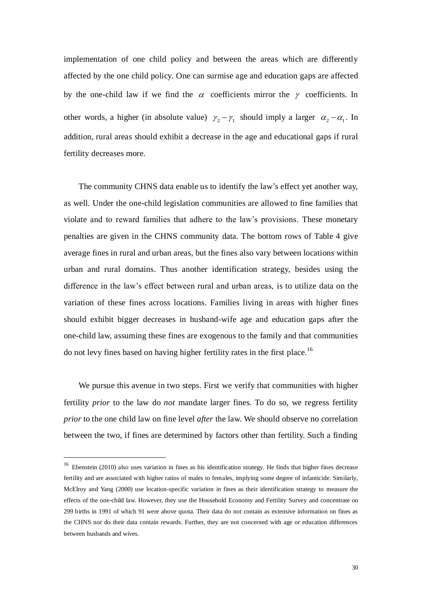implementation of one child policy and between the areas which are differently affected by the one child policy. One can surmise age and education gaps are affected by the one-child law if we find the  $\alpha$  coefficients mirror the  $\gamma$  coefficients. In other words, a higher (in absolute value)  $\gamma_2 - \gamma_1$  should imply a larger  $\alpha_2 - \alpha_1$ . In addition, rural areas should exhibit a decrease in the age and educational gaps if rural fertility decreases more.

The community CHNS data enable us to identify the law's effect yet another way, as well. Under the one-child legislation communities are allowed to fine families that violate and to reward families that adhere to the law's provisions. These monetary penalties are given in the CHNS community data. The bottom rows of Table 4 give average fines in rural and urban areas, but the fines also vary between locations within urban and rural domains. Thus another identification strategy, besides using the difference in the law's effect between rural and urban areas, is to utilize data on the variation of these fines across locations. Families living in areas with higher fines should exhibit bigger decreases in husband-wife age and education gaps after the one-child law, assuming these fines are exogenous to the family and that communities do not levy fines based on having higher fertility rates in the first place.<sup>16</sup>

We pursue this avenue in two steps. First we verify that communities with higher fertility *prior* to the law do *not* mandate larger fines. To do so, we regress fertility *prior* to the one child law on fine level *after* the law. We should observe no correlation between the two, if fines are determined by factors other than fertility. Such a finding

<sup>&</sup>lt;sup>16</sup> Ebenstein (2010) also uses variation in fines as his identification strategy. He finds that higher fines decrease fertility and are associated with higher ratios of males to females, implying some degree of infanticide. Similarly, McElroy and Yang (2000) use location-specific variation in fines as their identification strategy to measure the effects of the one-child law. However, they use the Household Economy and Fertility Survey and concentrate on 299 births in 1991 of which 91 were above quota. Their data do not contain as extensive information on fines as the CHNS nor do their data contain rewards. Further, they are not concerned with age or education differences between husbands and wives.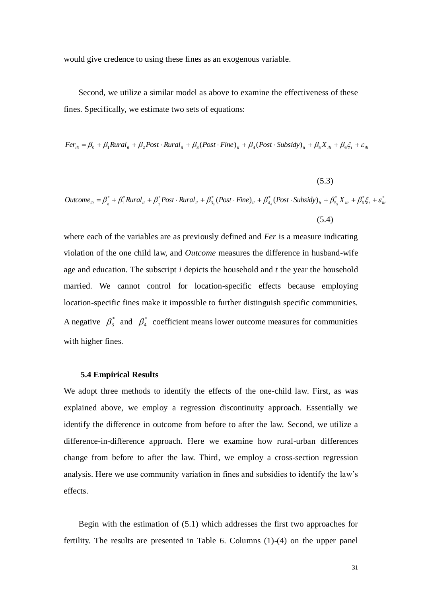would give credence to using these fines as an exogenous variable.

Second, we utilize a similar model as above to examine the effectiveness of these fines. Specifically, we estimate two sets of equations:

 $Fer_{ilt} = \beta_0 + \beta_1 Rural_{il} + \beta_2 Post \cdot Rural_{il} + \beta_3 (Post \cdot Fine)_{il} + \beta_4 (Post \cdot Subsidy)_{it} + \beta_5 X_{ilt} + \beta_6 \xi_t + \varepsilon_{ilt}$ 

(5.3)  $\int_0^*+\beta_1^* Rural_{il}+\beta_2^* Post\cdot Rural_{il}+\beta_3^* (Post\cdot Fine)_{il}+\beta_4^* (Post\cdot Subsidy)_{il}+\beta_5^* X_{ilt}+\beta_6^* \xi_t+\varepsilon_{ilt}^*$  $\begin{aligned} Outcome_{ilt}=\beta_{\circ}^*+\beta_{l}^*Rural_{il}+\beta_{\circ}^*Post\cdot Rural_{il}+\beta_{3}^* (Post\cdot Fine)_{il}+\beta_{4}^* (Post\cdot Subsidy)_{it}+\beta_{5}^*X_{ilt}+\beta_{6}^* \xi_t+\varepsilon_{ilt}^* \end{aligned}$ (5.4)

where each of the variables are as previously defined and *Fer* is a measure indicating violation of the one child law, and *Outcome* measures the difference in husband-wife age and education. The subscript *i* depicts the household and *t* the year the household married. We cannot control for location-specific effects because employing location-specific fines make it impossible to further distinguish specific communities. A negative  $\beta_3^*$  and  $\beta_4^*$  coefficient means lower outcome measures for communities with higher fines.

#### **5.4 Empirical Results**

We adopt three methods to identify the effects of the one-child law. First, as was explained above, we employ a regression discontinuity approach. Essentially we identify the difference in outcome from before to after the law. Second, we utilize a difference-in-difference approach. Here we examine how rural-urban differences change from before to after the law. Third, we employ a cross-section regression analysis. Here we use community variation in fines and subsidies to identify the law's effects.

Begin with the estimation of (5.1) which addresses the first two approaches for fertility. The results are presented in Table 6. Columns (1)-(4) on the upper panel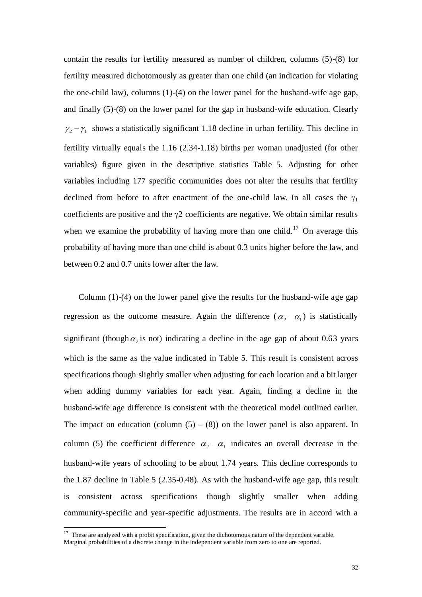contain the results for fertility measured as number of children, columns (5)-(8) for fertility measured dichotomously as greater than one child (an indication for violating the one-child law), columns (1)-(4) on the lower panel for the husband-wife age gap, and finally (5)-(8) on the lower panel for the gap in husband-wife education. Clearly  $\gamma_2 - \gamma_1$  shows a statistically significant 1.18 decline in urban fertility. This decline in fertility virtually equals the 1.16 (2.34-1.18) births per woman unadjusted (for other variables) figure given in the descriptive statistics Table 5. Adjusting for other variables including 177 specific communities does not alter the results that fertility declined from before to after enactment of the one-child law. In all cases the  $\gamma_1$ coefficients are positive and the  $\gamma$ 2 coefficients are negative. We obtain similar results when we examine the probability of having more than one child.<sup>17</sup> On average this probability of having more than one child is about 0.3 units higher before the law, and between 0.2 and 0.7 units lower after the law.

Column (1)-(4) on the lower panel give the results for the husband-wife age gap regression as the outcome measure. Again the difference  $(\alpha_2 - \alpha_1)$  is statistically significant (though  $\alpha_2$  is not) indicating a decline in the age gap of about 0.63 years which is the same as the value indicated in Table 5. This result is consistent across specifications though slightly smaller when adjusting for each location and a bit larger when adding dummy variables for each year. Again, finding a decline in the husband-wife age difference is consistent with the theoretical model outlined earlier. The impact on education (column  $(5) - (8)$ ) on the lower panel is also apparent. In column (5) the coefficient difference  $\alpha_2 - \alpha_1$  indicates an overall decrease in the husband-wife years of schooling to be about 1.74 years. This decline corresponds to the 1.87 decline in Table 5 (2.35-0.48). As with the husband-wife age gap, this result is consistent across specifications though slightly smaller when adding community-specific and year-specific adjustments. The results are in accord with a

 $17$  These are analyzed with a probit specification, given the dichotomous nature of the dependent variable. Marginal probabilities of a discrete change in the independent variable from zero to one are reported.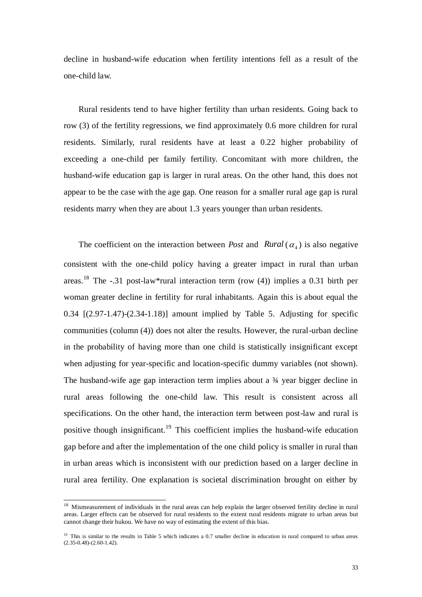decline in husband-wife education when fertility intentions fell as a result of the one-child law.

Rural residents tend to have higher fertility than urban residents. Going back to row (3) of the fertility regressions, we find approximately 0.6 more children for rural residents. Similarly, rural residents have at least a 0.22 higher probability of exceeding a one-child per family fertility. Concomitant with more children, the husband-wife education gap is larger in rural areas. On the other hand, this does not appear to be the case with the age gap. One reason for a smaller rural age gap is rural residents marry when they are about 1.3 years younger than urban residents.

The coefficient on the interaction between *Post* and  $Rural(\alpha_4)$  is also negative consistent with the one-child policy having a greater impact in rural than urban areas.<sup>18</sup> The -.31 post-law\*rural interaction term (row (4)) implies a 0.31 birth per woman greater decline in fertility for rural inhabitants. Again this is about equal the 0.34 [(2.97-1.47)-(2.34-1.18)] amount implied by Table 5. Adjusting for specific communities (column (4)) does not alter the results. However, the rural-urban decline in the probability of having more than one child is statistically insignificant except when adjusting for year-specific and location-specific dummy variables (not shown). The husband-wife age gap interaction term implies about a ¾ year bigger decline in rural areas following the one-child law. This result is consistent across all specifications. On the other hand, the interaction term between post-law and rural is positive though insignificant.<sup>19</sup> This coefficient implies the husband-wife education gap before and after the implementation of the one child policy is smaller in rural than in urban areas which is inconsistent with our prediction based on a larger decline in rural area fertility. One explanation is societal discrimination brought on either by

<sup>&</sup>lt;sup>18</sup> Mismeasurement of individuals in the rural areas can help explain the larger observed fertility decline in rural areas. Larger effects can be observed for rural residents to the extent rural residents migrate to urban areas but cannot change their hukou. We have no way of estimating the extent of this bias.

<sup>&</sup>lt;sup>19</sup> This is similar to the results in Table 5 which indicates a 0.7 smaller decline in education in rural compared to urban areas (2.35-0.48)-(2.60-1.42).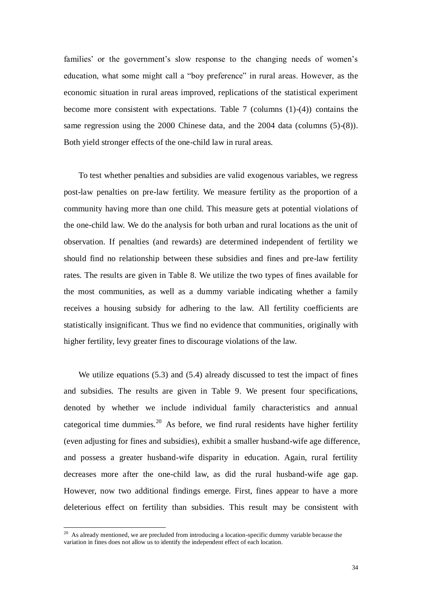families' or the government's slow response to the changing needs of women's education, what some might call a "boy preference" in rural areas. However, as the economic situation in rural areas improved, replications of the statistical experiment become more consistent with expectations. Table 7 (columns (1)-(4)) contains the same regression using the 2000 Chinese data, and the 2004 data (columns (5)-(8)). Both yield stronger effects of the one-child law in rural areas.

To test whether penalties and subsidies are valid exogenous variables, we regress post-law penalties on pre-law fertility. We measure fertility as the proportion of a community having more than one child. This measure gets at potential violations of the one-child law. We do the analysis for both urban and rural locations as the unit of observation. If penalties (and rewards) are determined independent of fertility we should find no relationship between these subsidies and fines and pre-law fertility rates. The results are given in Table 8. We utilize the two types of fines available for the most communities, as well as a dummy variable indicating whether a family receives a housing subsidy for adhering to the law. All fertility coefficients are statistically insignificant. Thus we find no evidence that communities, originally with higher fertility, levy greater fines to discourage violations of the law.

We utilize equations (5.3) and (5.4) already discussed to test the impact of fines and subsidies. The results are given in Table 9. We present four specifications, denoted by whether we include individual family characteristics and annual categorical time dummies.<sup>20</sup> As before, we find rural residents have higher fertility (even adjusting for fines and subsidies), exhibit a smaller husband-wife age difference, and possess a greater husband-wife disparity in education. Again, rural fertility decreases more after the one-child law, as did the rural husband-wife age gap. However, now two additional findings emerge. First, fines appear to have a more deleterious effect on fertility than subsidies. This result may be consistent with

 $20$  As already mentioned, we are precluded from introducing a location-specific dummy variable because the variation in fines does not allow us to identify the independent effect of each location.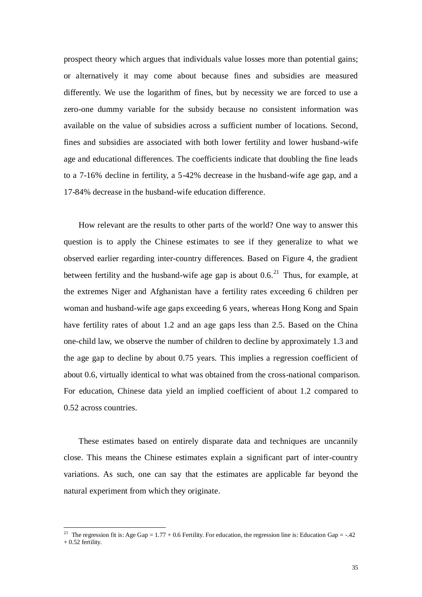prospect theory which argues that individuals value losses more than potential gains; or alternatively it may come about because fines and subsidies are measured differently. We use the logarithm of fines, but by necessity we are forced to use a zero-one dummy variable for the subsidy because no consistent information was available on the value of subsidies across a sufficient number of locations. Second, fines and subsidies are associated with both lower fertility and lower husband-wife age and educational differences. The coefficients indicate that doubling the fine leads to a 7-16% decline in fertility, a 5-42% decrease in the husband-wife age gap, and a 17-84% decrease in the husband-wife education difference.

How relevant are the results to other parts of the world? One way to answer this question is to apply the Chinese estimates to see if they generalize to what we observed earlier regarding inter-country differences. Based on Figure 4, the gradient between fertility and the husband-wife age gap is about  $0.6<sup>21</sup>$  Thus, for example, at the extremes Niger and Afghanistan have a fertility rates exceeding 6 children per woman and husband-wife age gaps exceeding 6 years, whereas Hong Kong and Spain have fertility rates of about 1.2 and an age gaps less than 2.5. Based on the China one-child law, we observe the number of children to decline by approximately 1.3 and the age gap to decline by about 0.75 years. This implies a regression coefficient of about 0.6, virtually identical to what was obtained from the cross-national comparison. For education, Chinese data yield an implied coefficient of about 1.2 compared to 0.52 across countries.

These estimates based on entirely disparate data and techniques are uncannily close. This means the Chinese estimates explain a significant part of inter-country variations. As such, one can say that the estimates are applicable far beyond the natural experiment from which they originate.

<sup>&</sup>lt;sup>21</sup> The regression fit is: Age Gap =  $1.77 + 0.6$  Fertility. For education, the regression line is: Education Gap = -.42  $+ 0.52$  fertility.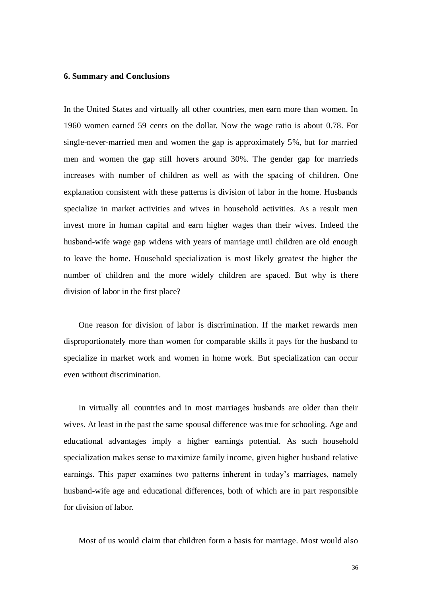#### **6. Summary and Conclusions**

In the United States and virtually all other countries, men earn more than women. In 1960 women earned 59 cents on the dollar. Now the wage ratio is about 0.78. For single-never-married men and women the gap is approximately 5%, but for married men and women the gap still hovers around 30%. The gender gap for marrieds increases with number of children as well as with the spacing of children. One explanation consistent with these patterns is division of labor in the home. Husbands specialize in market activities and wives in household activities. As a result men invest more in human capital and earn higher wages than their wives. Indeed the husband-wife wage gap widens with years of marriage until children are old enough to leave the home. Household specialization is most likely greatest the higher the number of children and the more widely children are spaced. But why is there division of labor in the first place?

One reason for division of labor is discrimination. If the market rewards men disproportionately more than women for comparable skills it pays for the husband to specialize in market work and women in home work. But specialization can occur even without discrimination.

In virtually all countries and in most marriages husbands are older than their wives. At least in the past the same spousal difference was true for schooling. Age and educational advantages imply a higher earnings potential. As such household specialization makes sense to maximize family income, given higher husband relative earnings. This paper examines two patterns inherent in today's marriages, namely husband-wife age and educational differences, both of which are in part responsible for division of labor.

Most of us would claim that children form a basis for marriage. Most would also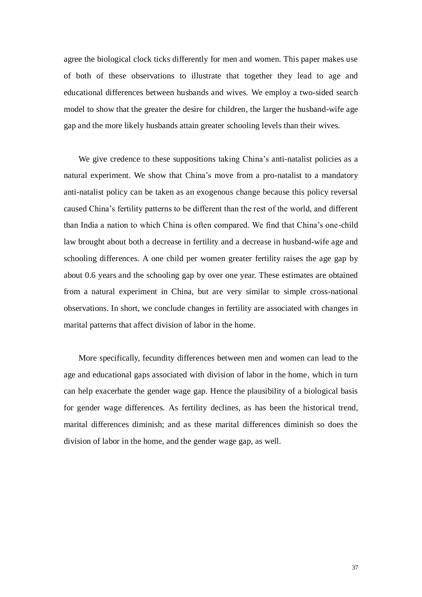agree the biological clock ticks differently for men and women. This paper makes use of both of these observations to illustrate that together they lead to age and educational differences between husbands and wives. We employ a two-sided search model to show that the greater the desire for children, the larger the husband-wife age gap and the more likely husbands attain greater schooling levels than their wives.

We give credence to these suppositions taking China's anti-natalist policies as a natural experiment. We show that China's move from a pro-natalist to a mandatory anti-natalist policy can be taken as an exogenous change because this policy reversal caused China's fertility patterns to be different than the rest of the world, and different than India a nation to which China is often compared. We find that China's one-child law brought about both a decrease in fertility and a decrease in husband-wife age and schooling differences. A one child per women greater fertility raises the age gap by about 0.6 years and the schooling gap by over one year. These estimates are obtained from a natural experiment in China, but are very similar to simple cross-national observations. In short, we conclude changes in fertility are associated with changes in marital patterns that affect division of labor in the home.

More specifically, fecundity differences between men and women can lead to the age and educational gaps associated with division of labor in the home, which in turn can help exacerbate the gender wage gap. Hence the plausibility of a biological basis for gender wage differences. As fertility declines, as has been the historical trend, marital differences diminish; and as these marital differences diminish so does the division of labor in the home, and the gender wage gap, as well.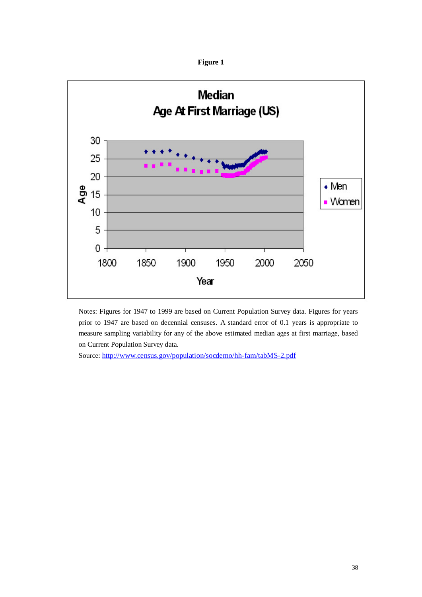



Notes: Figures for 1947 to 1999 are based on Current Population Survey data. Figures for years prior to 1947 are based on decennial censuses. A standard error of 0.1 years is appropriate to measure sampling variability for any of the above estimated median ages at first marriage, based on Current Population Survey data.

Source: <http://www.census.gov/population/socdemo/hh-fam/tabMS-2.pdf>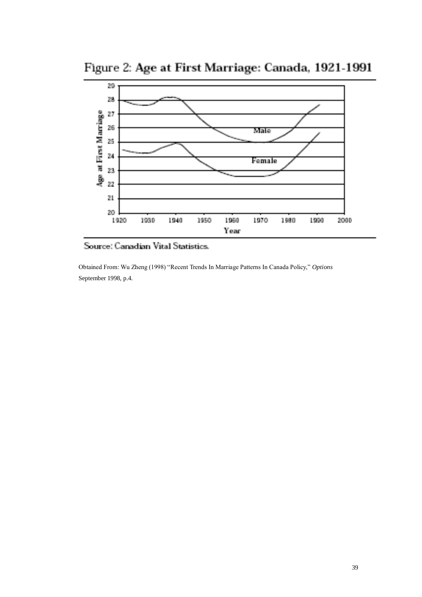Figure 2: Age at First Marriage: Canada, 1921-1991



Source: Canadian Vital Statistics.

Obtained From: Wu Zheng (1998) "Recent Trends In Marriage Patterns In Canada Policy," *Options* September 1998, p.4.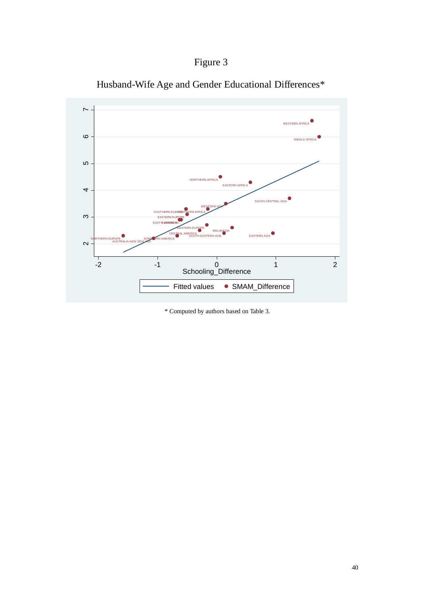



Husband-Wife Age and Gender Educational Differences\*

\* Computed by authors based on Table 3.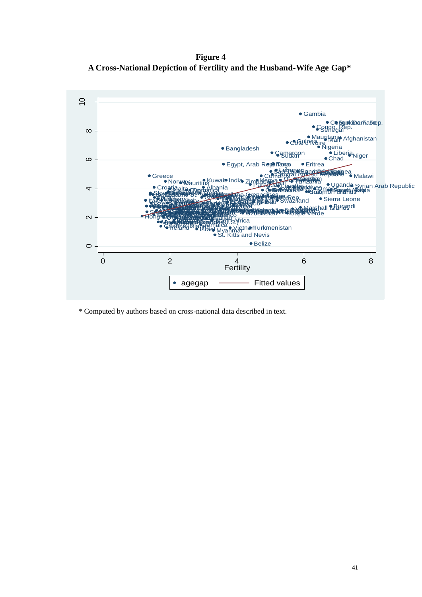**Figure 4 A Cross-National Depiction of Fertility and the Husband-Wife Age Gap\***



\* Computed by authors based on cross-national data described in text.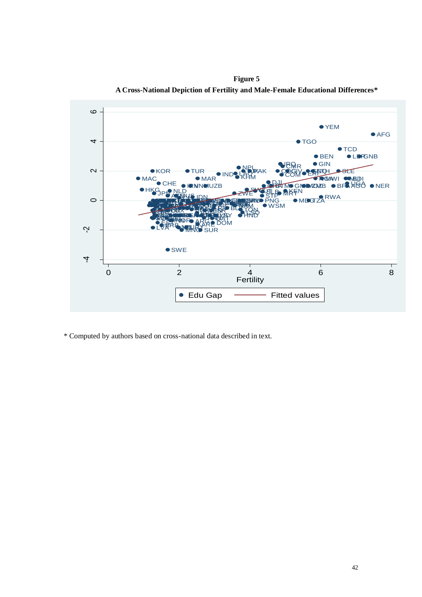

**Figure 5 A Cross-National Depiction of Fertility and Male-Female Educational Differences\***

\* Computed by authors based on cross-national data described in text.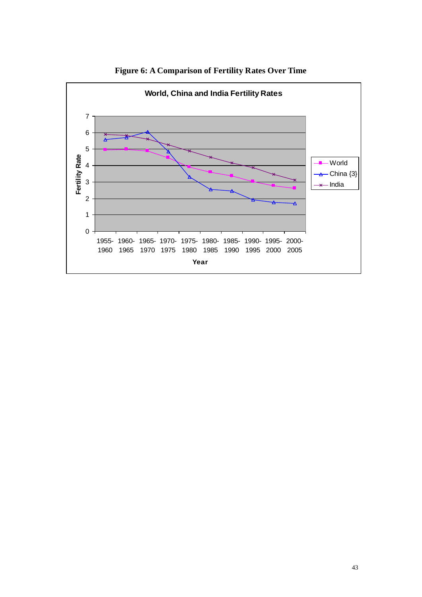

**Figure 6: A Comparison of Fertility Rates Over Time**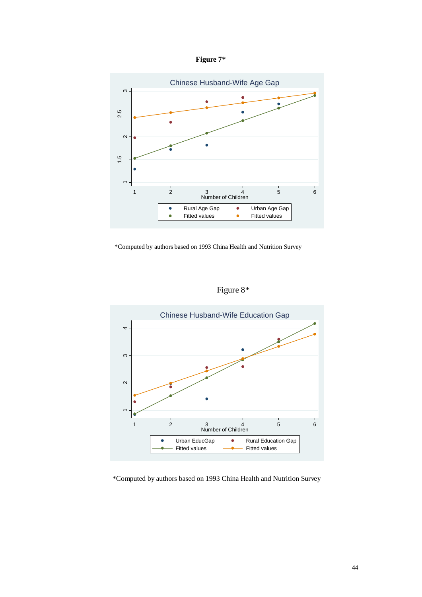



\*Computed by authors based on 1993 China Health and Nutrition Survey





\*Computed by authors based on 1993 China Health and Nutrition Survey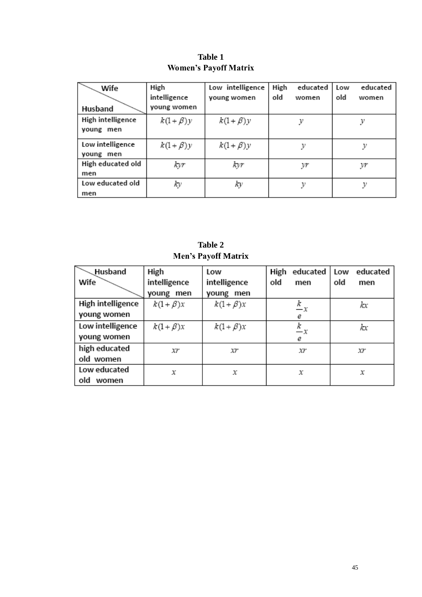| Wife              | High          | Low intelligence | High<br>educated | educated<br>Low |
|-------------------|---------------|------------------|------------------|-----------------|
|                   | intelligence  | young women      | old<br>women     | old<br>women    |
| Husband           | young women   |                  |                  |                 |
| High intelligence | $k(1+\beta)y$ | $k(1+\beta)y$    | у                |                 |
| young men         |               |                  |                  |                 |
| Low intelligence  | $k(1+\beta)y$ | $k(1+\beta)y$    |                  | ν               |
| young men         |               |                  |                  |                 |
| High educated old | kyr           | kyr              | уґ               | yr              |
| men               |               |                  |                  |                 |
| Low educated old  | ky            | ky               |                  |                 |
| men               |               |                  |                  |                 |

**Table 1 Women's Payoff Matrix**

**Table 2 Men's Payoff Matrix**

| Husband           | High          | Low           | educated  <br>High | educated<br>Low |
|-------------------|---------------|---------------|--------------------|-----------------|
| Wife              | intelligence  | intelligence  | old<br>men         | old<br>men      |
|                   | young men     | young men     |                    |                 |
| High intelligence | $k(1+\beta)x$ | $k(1+\beta)x$ | $\frac{k}{-x}$     | kχ              |
| young women       |               |               | е                  |                 |
| Low intelligence  | $k(1+\beta)x$ | $k(1+\beta)x$ | $\frac{k}{-x}$     | kχ              |
| young women       |               |               | е                  |                 |
| high educated     | χr            | χr            | Xľ                 | χr              |
| old women         |               |               |                    |                 |
| Low educated      | х             | х             | х                  | х               |
| old<br>women      |               |               |                    |                 |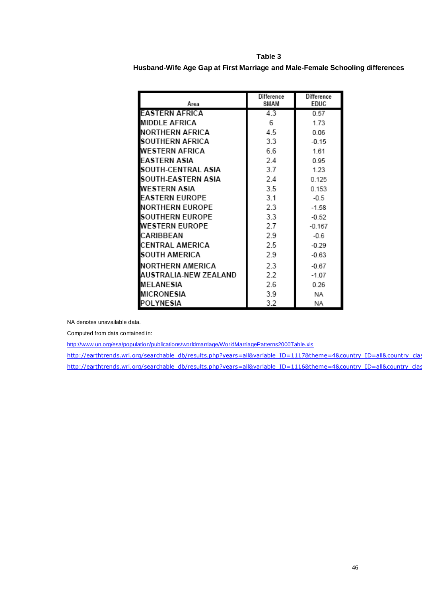**Husband-Wife Age Gap at First Marriage and Male-Female Schooling differences**

| Area                   | <b>Difference</b><br>SMAM | <b>Difference</b><br>EDUC |
|------------------------|---------------------------|---------------------------|
| EASTERN AFRICA         | 4.3                       | 0.57                      |
|                        |                           |                           |
| MIDDLE AFRICA          | 6                         | 1.73                      |
| NORTHERN AFRICA        | 4.5                       | 0.06                      |
| SOUTHERN AFRICA        | 3.3                       | $-0.15$                   |
| WESTERN AFRICA         | 6.6                       | 1.61                      |
| <b>FASTERN ASIA</b>    | 2.4                       | 0.95                      |
| SOUTH-CENTRAL ASIA     | 37                        | 1.23                      |
| SOUTH-EASTERN ASIA     | 24                        | 0.125                     |
| WESTERN ASIA           | 3.5                       | 0.153                     |
| <b>FASTERN EUROPE</b>  | 3.1                       | $-0.5$                    |
| NORTHERN EUROPE        | 2.3                       | $-1.58$                   |
| <b>SOUTHERN EUROPE</b> | 3.3                       | $-0.52$                   |
| WESTERN EUROPE         | 2.7                       | $-0.167$                  |
| CARIBBEAN              | 2.9                       | $-0.6$                    |
| CENTRAL AMERICA        | 2.5                       | $-0.29$                   |
| <b>SOUTH AMERICA</b>   | 2.9                       | $-0.63$                   |
| NORTHERN AMERICA       | 2.3                       | $-0.67$                   |
| AUSTRALIA-NEW ZEALAND  | 2.2                       | $-1.07$                   |
| MELANESIA              | 2.6                       | 0.26                      |
| MICRONESIA             | 3.9                       | NA                        |
| <b>POLYNESIA</b>       | 3.2                       | ΝA                        |

NA denotes unavailable data.

Computed from data contained in:

<http://www.un.org/esa/population/publications/worldmarriage/WorldMarriagePatterns2000Table.xls>

http://earthtrends.wri.org/searchable\_db/results.php?years=all&variable\_ID=1117&theme=4&country\_ID=all&country\_cla http://earthtrends.wri.org/searchable\_db/results.php?years=all&variable\_ID=1116&theme=4&country\_ID=all&country\_clas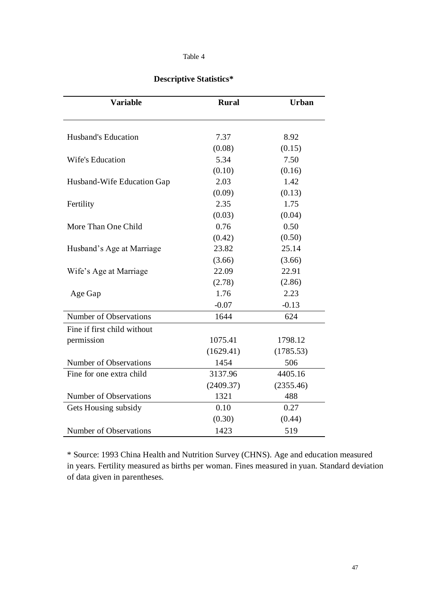# **Descriptive Statistics\***

| <b>Variable</b>             | <b>Rural</b> | <b>Urban</b> |
|-----------------------------|--------------|--------------|
|                             |              |              |
| Husband's Education         | 7.37         | 8.92         |
|                             | (0.08)       | (0.15)       |
| Wife's Education            | 5.34         | 7.50         |
|                             | (0.10)       | (0.16)       |
| Husband-Wife Education Gap  | 2.03         | 1.42         |
|                             | (0.09)       | (0.13)       |
| Fertility                   | 2.35         | 1.75         |
|                             | (0.03)       | (0.04)       |
| More Than One Child         | 0.76         | 0.50         |
|                             | (0.42)       | (0.50)       |
| Husband's Age at Marriage   | 23.82        | 25.14        |
|                             | (3.66)       | (3.66)       |
| Wife's Age at Marriage      | 22.09        | 22.91        |
|                             | (2.78)       | (2.86)       |
| Age Gap                     | 1.76         | 2.23         |
|                             | $-0.07$      | $-0.13$      |
| Number of Observations      | 1644         | 624          |
| Fine if first child without |              |              |
| permission                  | 1075.41      | 1798.12      |
|                             | (1629.41)    | (1785.53)    |
| Number of Observations      | 1454         | 506          |
| Fine for one extra child    | 3137.96      | 4405.16      |
|                             | (2409.37)    | (2355.46)    |
| Number of Observations      | 1321         | 488          |
| Gets Housing subsidy        | 0.10         | 0.27         |
|                             | (0.30)       | (0.44)       |
| Number of Observations      | 1423         | 519          |

\* Source: 1993 China Health and Nutrition Survey (CHNS). Age and education measured in years. Fertility measured as births per woman. Fines measured in yuan. Standard deviation of data given in parentheses.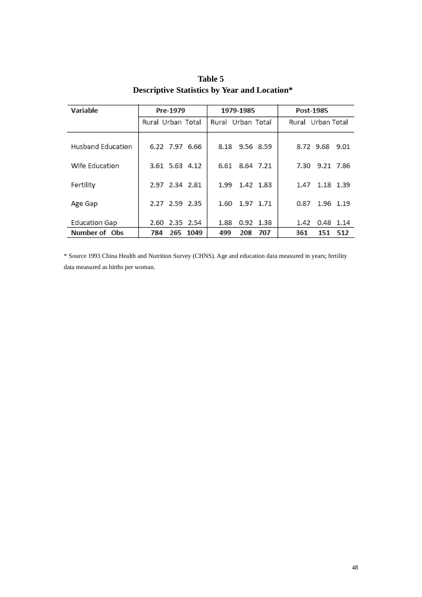| Variable                 | Pre-1979           | 1979-1985         | Post-1985         |  |  |
|--------------------------|--------------------|-------------------|-------------------|--|--|
|                          | Rural Urban Total  | Rural Urban Total | Rural Urban Total |  |  |
| <b>Husband Education</b> | 6.22 7.97 6.66     | 8.18 9.56 8.59    | 8.72 9.68 9.01    |  |  |
| Wife Education           | 3.61 5.63 4.12     | 6.61<br>8.64 7.21 | 7.30<br>9.21 7.86 |  |  |
| Fertility                | 2.97 2.34 2.81     | 1.99<br>1.42 1.83 | 1.18 1.39<br>1.47 |  |  |
| Age Gap                  | 2.27 2.59 2.35     | 1.60<br>1.97 1.71 | 1.96 1.19<br>0.87 |  |  |
| Education Gap            | 2.60 2.35 2.54     | 1.88<br>0.92 1.38 | 1.42<br>0.48 1.14 |  |  |
| Number of Obs            | 265<br>1049<br>784 | 208<br>499<br>707 | 512<br>361<br>151 |  |  |

**Table 5 Descriptive Statistics by Year and Location\***

\* Source 1993 China Health and Nutrition Survey (CHNS). Age and education data measured in years; fertility data measured as births per woman.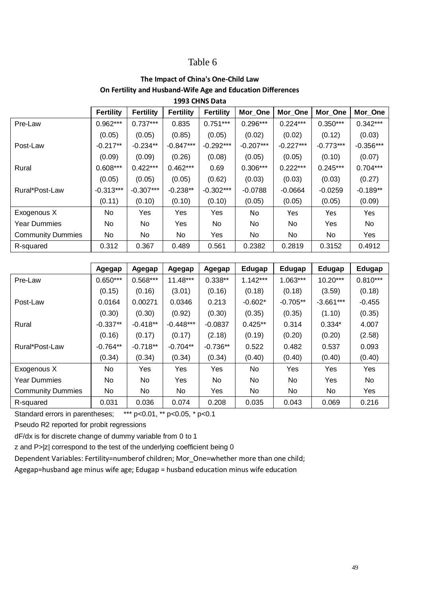## **The Impact of China's One-Child Law On Fertility and Husband-Wife Age and Education Differences 1993 CHNS Data**

| 2333 CHIVS DULU          |                  |                  |                  |                  |             |             |             |             |  |
|--------------------------|------------------|------------------|------------------|------------------|-------------|-------------|-------------|-------------|--|
|                          | <b>Fertility</b> | <b>Fertility</b> | <b>Fertility</b> | <b>Fertility</b> | Mor_One     | Mor_One     | Mor_One     | Mor_One     |  |
| Pre-Law                  | $0.962***$       | $0.737***$       | 0.835            | $0.751***$       | $0.296***$  | $0.224***$  | $0.350***$  | $0.342***$  |  |
|                          | (0.05)           | (0.05)           | (0.85)           | (0.05)           | (0.02)      | (0.02)      | (0.12)      | (0.03)      |  |
| Post-Law                 | $-0.217**$       | $-0.234**$       | $-0.847***$      | $-0.292***$      | $-0.207***$ | $-0.227***$ | $-0.773***$ | $-0.356***$ |  |
|                          | (0.09)           | (0.09)           | (0.26)           | (0.08)           | (0.05)      | (0.05)      | (0.10)      | (0.07)      |  |
| Rural                    | $0.608***$       | $0.422***$       | $0.462***$       | 0.69             | $0.306***$  | $0.222***$  | $0.245***$  | $0.704***$  |  |
|                          | (0.05)           | (0.05)           | (0.05)           | (0.62)           | (0.03)      | (0.03)      | (0.03)      | (0.27)      |  |
| Rural*Post-Law           | $-0.313***$      | $-0.307***$      | $-0.238**$       | $-0.302***$      | $-0.0788$   | $-0.0664$   | $-0.0259$   | $-0.189**$  |  |
|                          | (0.11)           | (0.10)           | (0.10)           | (0.10)           | (0.05)      | (0.05)      | (0.05)      | (0.09)      |  |
| Exogenous X              | No               | Yes              | Yes              | Yes              | No          | Yes         | Yes         | Yes         |  |
| <b>Year Dummies</b>      | No.              | No               | Yes              | No               | No.         | No          | Yes         | No          |  |
| <b>Community Dummies</b> | No               | No.              | No               | Yes              | No          | <b>No</b>   | No.         | Yes         |  |
| R-squared                | 0.312            | 0.367            | 0.489            | 0.561            | 0.2382      | 0.2819      | 0.3152      | 0.4912      |  |

|                          | Agegap     | Agegap     | Agegap      | Agegap     | Edugap     | Edugap     | Edugap      | Edugap     |
|--------------------------|------------|------------|-------------|------------|------------|------------|-------------|------------|
| Pre-Law                  | $0.650***$ | $0.568***$ | $11.48***$  | $0.338**$  | $1.142***$ | $1.063***$ | $10.20***$  | $0.810***$ |
|                          | (0.15)     | (0.16)     | (3.01)      | (0.16)     | (0.18)     | (0.18)     | (3.59)      | (0.18)     |
| Post-Law                 | 0.0164     | 0.00271    | 0.0346      | 0.213      | $-0.602*$  | $-0.705**$ | $-3.661***$ | $-0.455$   |
|                          | (0.30)     | (0.30)     | (0.92)      | (0.30)     | (0.35)     | (0.35)     | (1.10)      | (0.35)     |
| Rural                    | $-0.337**$ | $-0.418**$ | $-0.448***$ | $-0.0837$  | $0.425**$  | 0.314      | $0.334*$    | 4.007      |
|                          | (0.16)     | (0.17)     | (0.17)      | (2.18)     | (0.19)     | (0.20)     | (0.20)      | (2.58)     |
| Rural*Post-Law           | $-0.764**$ | $-0.718**$ | $-0.704**$  | $-0.736**$ | 0.522      | 0.482      | 0.537       | 0.093      |
|                          | (0.34)     | (0.34)     | (0.34)      | (0.34)     | (0.40)     | (0.40)     | (0.40)      | (0.40)     |
| Exogenous X              | No.        | Yes        | Yes         | Yes        | No.        | Yes        | Yes         | Yes        |
| <b>Year Dummies</b>      | No.        | No.        | <b>Yes</b>  | No.        | No.        | No         | Yes         | No         |
| <b>Community Dummies</b> | No.        | No.        | No          | Yes        | No         | No         | No.         | Yes        |
| R-squared                | 0.031      | 0.036      | 0.074       | 0.208      | 0.035      | 0.043      | 0.069       | 0.216      |

Standard errors in parentheses; \*\*\* p<0.01, \*\* p<0.05, \* p<0.1

Pseudo R2 reported for probit regressions

dF/dx is for discrete change of dummy variable from 0 to 1

z and P>|z| correspond to the test of the underlying coefficient being 0

Dependent Variables: Fertility=numberof children; Mor\_One=whether more than one child;

Agegap=husband age minus wife age; Edugap = husband education minus wife education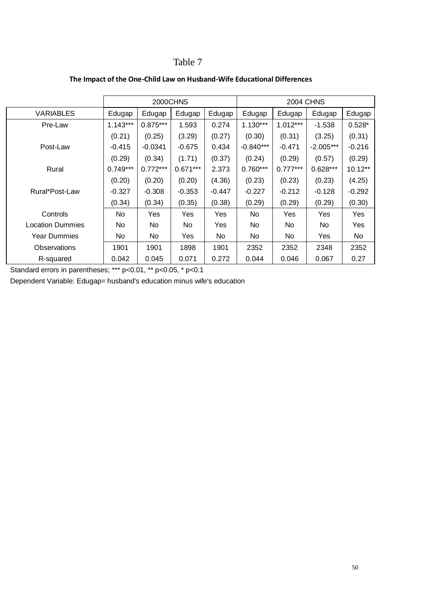|                         |            | 2000CHNS   |            |          | <b>2004 CHNS</b> |            |             |           |  |
|-------------------------|------------|------------|------------|----------|------------------|------------|-------------|-----------|--|
| <b>VARIABLES</b>        | Edugap     | Edugap     | Edugap     | Edugap   | Edugap           | Edugap     | Edugap      | Edugap    |  |
| Pre-Law                 | $1.143***$ | $0.875***$ | 1.593      | 0.274    | $1.130***$       | $1.012***$ | $-1.538$    | $0.528*$  |  |
|                         | (0.21)     | (0.25)     | (3.29)     | (0.27)   | (0.30)           | (0.31)     | (3.25)      | (0.31)    |  |
| Post-Law                | $-0.415$   | $-0.0341$  | $-0.675$   | 0.434    | $-0.840***$      | $-0.471$   | $-2.005***$ | $-0.216$  |  |
|                         | (0.29)     | (0.34)     | (1.71)     | (0.37)   | (0.24)           | (0.29)     | (0.57)      | (0.29)    |  |
| Rural                   | $0.749***$ | $0.772***$ | $0.671***$ | 2.373    | $0.760***$       | $0.777***$ | $0.628***$  | $10.12**$ |  |
|                         | (0.20)     | (0.20)     | (0.20)     | (4.36)   | (0.23)           | (0.23)     | (0.23)      | (4.25)    |  |
| Rural*Post-Law          | $-0.327$   | $-0.308$   | $-0.353$   | $-0.447$ | $-0.227$         | $-0.212$   | $-0.128$    | $-0.292$  |  |
|                         | (0.34)     | (0.34)     | (0.35)     | (0.38)   | (0.29)           | (0.29)     | (0.29)      | (0.30)    |  |
| Controls                | No         | Yes        | Yes        | Yes      | No               | Yes        | Yes         | Yes       |  |
| <b>Location Dummies</b> | No         | No         | No         | Yes      | No               | No.        | No.         | Yes       |  |
| <b>Year Dummies</b>     | No.        | No         | Yes        | No.      | No.              | No.        | Yes         | No        |  |
| Observations            | 1901       | 1901       | 1898       | 1901     | 2352             | 2352       | 2348        | 2352      |  |
| R-squared               | 0.042      | 0.045      | 0.071      | 0.272    | 0.044            | 0.046      | 0.067       | 0.27      |  |

## **The Impact of the One-Child Law on Husband-Wife Educational Differences**

Standard errors in parentheses; \*\*\* p<0.01, \*\* p<0.05, \* p<0.1

Dependent Variable: Edugap= husband's education minus wife's education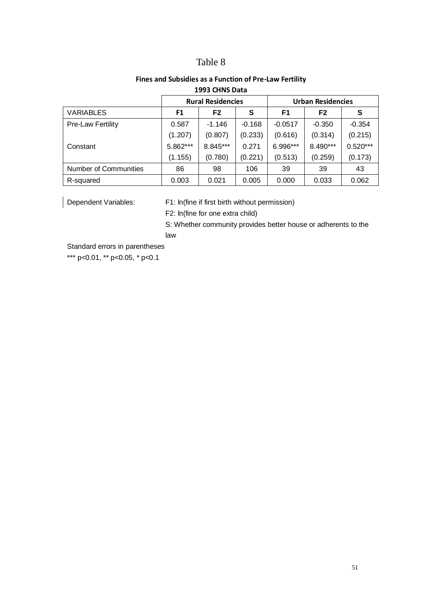# **Fines and Subsidies as a Function of Pre-Law Fertility**

|                              |          | <b>Rural Residencies</b><br><b>Urban Residencies</b> |          |                |                |            |
|------------------------------|----------|------------------------------------------------------|----------|----------------|----------------|------------|
| <b>VARIABLES</b>             | F1       | F <sub>2</sub>                                       | S        | F <sub>1</sub> | F <sub>2</sub> | S          |
| <b>Pre-Law Fertility</b>     | 0.587    | $-1.146$                                             | $-0.168$ | $-0.0517$      | $-0.350$       | $-0.354$   |
|                              | (1.207)  | (0.807)                                              | (0.233)  | (0.616)        | (0.314)        | (0.215)    |
| Constant                     | 5.862*** | 8.845***                                             | 0.271    | 6.996***       | 8.490***       | $0.520***$ |
|                              | (1.155)  | (0.780)                                              | (0.221)  | (0.513)        | (0.259)        | (0.173)    |
| <b>Number of Communities</b> | 86       | 98                                                   | 106      | 39             | 39             | 43         |
| R-squared                    | 0.003    | 0.021                                                | 0.005    | 0.000          | 0.033          | 0.062      |

## **1993 CHNS Data**

Dependent Variables: F1: ln(fine if first birth without permission)

F2: ln(fine for one extra child)

S: Whether community provides better house or adherents to the law

Standard errors in parentheses

\*\*\* p<0.01, \*\* p<0.05, \* p<0.1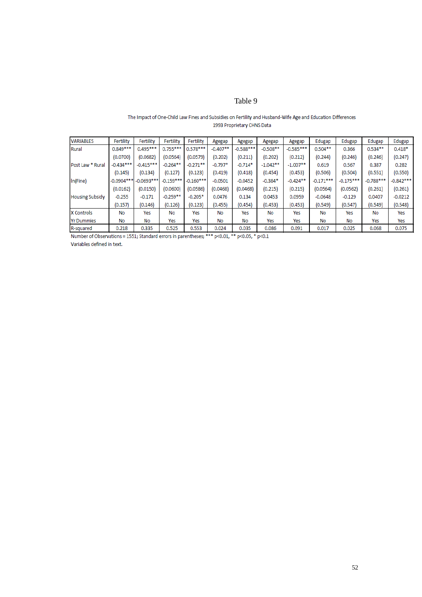#### The Impact of One-Child Law Fines and Subsidies on Fertility and Husband-Wife Age and Education Differences 1993 Proprietary CHNS Data

| <b>VARIABLES</b>       | Fertility    | Fertility    | Fertility   | Fertility   | Agegap     | Agegap      | Agegap     | Agegap      | Edugap      | Edugap      | Edugap      | Edugap      |
|------------------------|--------------|--------------|-------------|-------------|------------|-------------|------------|-------------|-------------|-------------|-------------|-------------|
| Rural                  | $0.849***$   | $0.495***$   | $0.755***$  | $0.578***$  | $-0.407**$ | $-0.588***$ | $-0.508**$ | $-0.585***$ | $0.504**$   | 0.366       | $0.534***$  | $0.418*$    |
|                        | (0.0700)     | (0.0682)     | (0.0564)    | (0.0579)    | (0.202)    | (0.211)     | (0.202)    | (0.212)     | (0.244)     | (0.246)     | (0.246)     | (0.247)     |
| Post Law * Rural       | $-0.434***$  | $-0.415***$  | $-0.264**$  | $-0.271$ ** | $-0.797*$  | $-0.714*$   | $-1.042**$ | $-1.007**$  | 0.619       | 0.567       | 0.387       | 0.282       |
|                        | (0.145)      | (0.134)      | (0.127)     | (0.123)     | (0.419)    | (0.418)     | (0.454)    | (0.453)     | (0.506)     | (0.504)     | (0.551)     | (0.550)     |
| In(Fine)               | $-0.0904***$ | $-0.0693***$ | $-0.159***$ | $-0.160***$ | $-0.0501$  | $-0.0452$   | $-0.384*$  | $-0.424**$  | $-0.171***$ | $-0.175***$ | $-0.788***$ | $-0.842***$ |
|                        | (0.0162)     | (0.0150)     | (0.0600)    | (0.0586)    | (0.0468)   | (0.0468)    | (0.215)    | (0.215)     | (0.0564)    | (0.0562)    | (0.261)     | (0.261)     |
| <b>Housing Subsidy</b> | $-0.255$     | $-0.171$     | $-0.259**$  | $-0.205*$   | 0.0476     | 0.134       | 0.0453     | 0.0959      | $-0.0648$   | $-0.129$    | 0.0407      | $-0.0212$   |
|                        | (0.157)      | (0.146)      | (0.126)     | (0.123)     | (0.455)    | (0.454)     | (0.453)    | (0.453)     | (0.549)     | (0.547)     | (0.549)     | (0.548)     |
| <b>X</b> Controls      | No           | Yes          | No          | Yes         | No         | Yes         | No         | Yes         | No          | Yes         | No          | Yes         |
| <b>Yr Dummies</b>      | No           | No           | Yes         | Yes         | No         | No          | Yes        | Yes         | No          | No          | Yes         | Yes         |
| R-squared              | 0.218        | 0.335        | 0.525       | 0.553       | 0.024      | 0.035       | 0.086      | 0.091       | 0.017       | 0.025       | 0.068       | 0.075       |

Number of Observations = 1551; Standard errors in parentheses; \*\*\* p<0.01, \*\* p<0.05, \* p<0.1

Variables defined in text.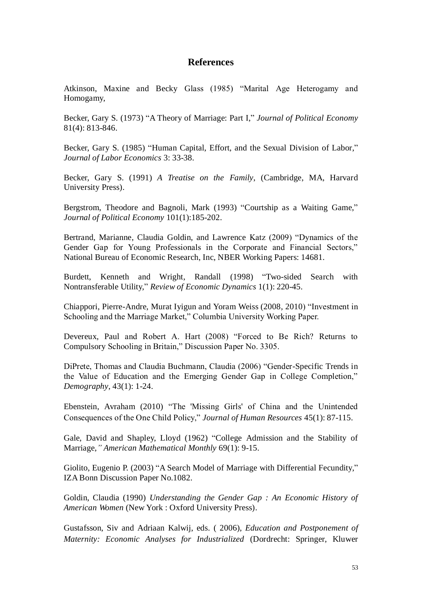# **References**

Atkinson, Maxine and Becky Glass (1985) "Marital Age Heterogamy and Homogamy,

Becker, Gary S. (1973) "A Theory of Marriage: Part I," *Journal of Political Economy* 81(4): 813-846.

Becker, Gary S. (1985) "Human Capital, Effort, and the Sexual Division of Labor," *Journal of Labor Economics* 3: 33-38.

Becker, Gary S. (1991) *A Treatise on the Family*, (Cambridge, MA, Harvard University Press).

Bergstrom, Theodore and Bagnoli, Mark (1993) "Courtship as a Waiting Game," *Journal of Political Economy* 101(1):185-202.

Bertrand, Marianne, Claudia Goldin, and Lawrence Katz (2009) "Dynamics of the Gender Gap for Young Professionals in the Corporate and Financial Sectors," National Bureau of Economic Research, Inc, NBER Working Papers: 14681.

Burdett, Kenneth and Wright, Randall (1998) "Two-sided Search with Nontransferable Utility," *Review of Economic Dynamics* 1(1): 220-45.

Chiappori, Pierre-Andre, Murat Iyigun and Yoram Weiss (2008, 2010) "Investment in Schooling and the Marriage Market," Columbia University Working Paper.

Devereux, Paul and Robert A. Hart (2008) "Forced to Be Rich? Returns to Compulsory Schooling in Britain," Discussion Paper No. 3305.

DiPrete, Thomas and Claudia Buchmann, Claudia (2006) "Gender-Specific Trends in the Value of Education and the Emerging Gender Gap in College Completion," *Demography*, 43(1): 1-24.

Ebenstein, Avraham (2010) "The 'Missing Girls' of China and the Unintended Consequences of the One Child Policy," *Journal of Human Resources* 45(1): 87-115.

Gale, David and Shapley, Lloyd (1962) "College Admission and the Stability of Marriage,*" American Mathematical Monthly* 69(1): 9-15.

Giolito, Eugenio P. (2003) "A Search Model of Marriage with Differential Fecundity," IZA Bonn Discussion Paper No.1082.

Goldin, Claudia (1990) *Understanding the Gender Gap : An Economic History of American Women* (New York : Oxford University Press).

Gustafsson, Siv and Adriaan Kalwij, eds. ( 2006), *Education and Postponement of Maternity: Economic Analyses for Industrialized* (Dordrecht: Springer, Kluwer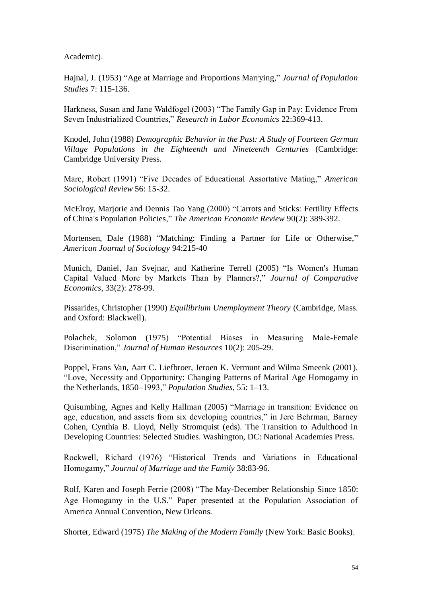Academic).

Hajnal, J. (1953) "Age at Marriage and Proportions Marrying," *Journal of Population Studies* 7: 115-136.

Harkness, Susan and Jane Waldfogel (2003) "The Family Gap in Pay: Evidence From Seven Industrialized Countries," *Research in Labor Economics* 22:369-413.

Knodel, John (1988) *Demographic Behavior in the Past: A Study of Fourteen German Village Populations in the Eighteenth and Nineteenth Centuries* (Cambridge: Cambridge University Press.

Mare, Robert (1991) "Five Decades of Educational Assortative Mating," *American Sociological Review* 56: 15-32.

McElroy, Marjorie and Dennis Tao Yang (2000) "Carrots and Sticks: Fertility Effects of China's Population Policies," *The American Economic Review* 90(2): 389-392.

Mortensen, Dale (1988) "Matching: Finding a Partner for Life or Otherwise," *American Journal of Sociology* 94:215-40

Munich, Daniel, Jan Svejnar, and Katherine Terrell (2005) "Is Women's Human Capital Valued More by Markets Than by Planners?," *Journal of Comparative Economics*, 33(2): 278-99.

Pissarides, Christopher (1990) *Equilibrium Unemployment Theory* (Cambridge, Mass. and Oxford: Blackwell).

Polachek, Solomon (1975) "Potential Biases in Measuring Male-Female Discrimination," *Journal of Human Resources* 10(2): 205-29.

Poppel, Frans Van, Aart C. Liefbroer, Jeroen K. Vermunt and Wilma Smeenk (2001). "Love, Necessity and Opportunity: Changing Patterns of Marital Age Homogamy in the Netherlands, 1850–1993," *Population Studies*, 55: 1–13.

Quisumbing, Agnes and Kelly Hallman (2005) "Marriage in transition: Evidence on age, education, and assets from six developing countries," in Jere Behrman, Barney Cohen, Cynthia B. Lloyd, Nelly Stromquist (eds). The Transition to Adulthood in Developing Countries: Selected Studies. Washington, DC: National Academies Press.

Rockwell, Richard (1976) "Historical Trends and Variations in Educational Homogamy," *Journal of Marriage and the Family* 38:83-96.

Rolf, Karen and Joseph Ferrie (2008) "The May-December Relationship Since 1850: Age Homogamy in the U.S." Paper presented at the Population Association of America Annual Convention, New Orleans.

Shorter, Edward (1975) *The Making of the Modern Family* (New York: Basic Books).